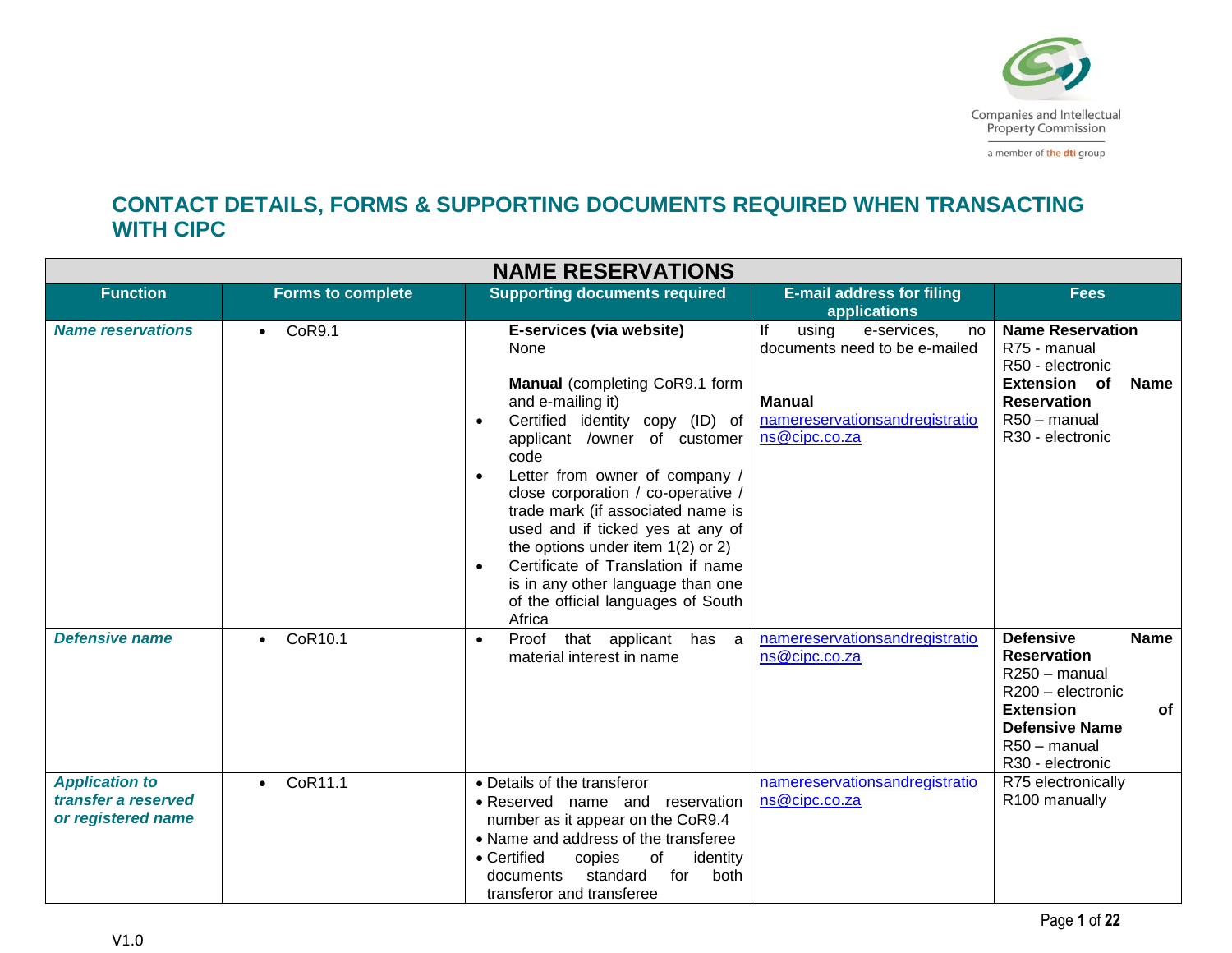

a member of the dti group

## **CONTACT DETAILS, FORMS & SUPPORTING DOCUMENTS REQUIRED WHEN TRANSACTING WITH CIPC**

|                                                                    |                          | <b>NAME RESERVATIONS</b>                                                                                                                                                                                                                                                                                                                                                                                                                                                                                                     |                                                                                                                                       |                                                                                                                                                                                    |
|--------------------------------------------------------------------|--------------------------|------------------------------------------------------------------------------------------------------------------------------------------------------------------------------------------------------------------------------------------------------------------------------------------------------------------------------------------------------------------------------------------------------------------------------------------------------------------------------------------------------------------------------|---------------------------------------------------------------------------------------------------------------------------------------|------------------------------------------------------------------------------------------------------------------------------------------------------------------------------------|
| <b>Function</b>                                                    | <b>Forms to complete</b> | <b>Supporting documents required</b>                                                                                                                                                                                                                                                                                                                                                                                                                                                                                         | <b>E-mail address for filing</b><br><b>applications</b>                                                                               | <b>Fees</b>                                                                                                                                                                        |
| <b>Name reservations</b>                                           | CoR9.1<br>$\bullet$      | E-services (via website)<br>None<br>Manual (completing CoR9.1 form<br>and e-mailing it)<br>Certified identity copy (ID) of<br>$\bullet$<br>applicant /owner of customer<br>code<br>Letter from owner of company /<br>$\bullet$<br>close corporation / co-operative /<br>trade mark (if associated name is<br>used and if ticked yes at any of<br>the options under item $1(2)$ or 2)<br>Certificate of Translation if name<br>$\bullet$<br>is in any other language than one<br>of the official languages of South<br>Africa | lf<br>using<br>e-services,<br>no<br>documents need to be e-mailed<br><b>Manual</b><br>namereservationsandregistratio<br>ns@cipc.co.za | <b>Name Reservation</b><br>R75 - manual<br>R50 - electronic<br><b>Extension</b> of<br><b>Name</b><br><b>Reservation</b><br>R50 - manual<br>R30 - electronic                        |
| <b>Defensive name</b>                                              | CoR10.1<br>$\bullet$     | Proof that applicant has a<br>$\bullet$<br>material interest in name                                                                                                                                                                                                                                                                                                                                                                                                                                                         | namereservationsandregistratio<br>ns@cipc.co.za                                                                                       | <b>Defensive</b><br><b>Name</b><br><b>Reservation</b><br>R250 - manual<br>R200 - electronic<br><b>Extension</b><br>of<br><b>Defensive Name</b><br>R50 - manual<br>R30 - electronic |
| <b>Application to</b><br>transfer a reserved<br>or registered name | CoR11.1<br>$\bullet$     | • Details of the transferor<br>• Reserved name and reservation<br>number as it appear on the CoR9.4<br>• Name and address of the transferee<br>• Certified<br>copies<br>of<br>identity<br>for<br>documents<br>standard<br>both<br>transferor and transferee                                                                                                                                                                                                                                                                  | namereservationsandregistratio<br>ns@cipc.co.za                                                                                       | R75 electronically<br>R100 manually                                                                                                                                                |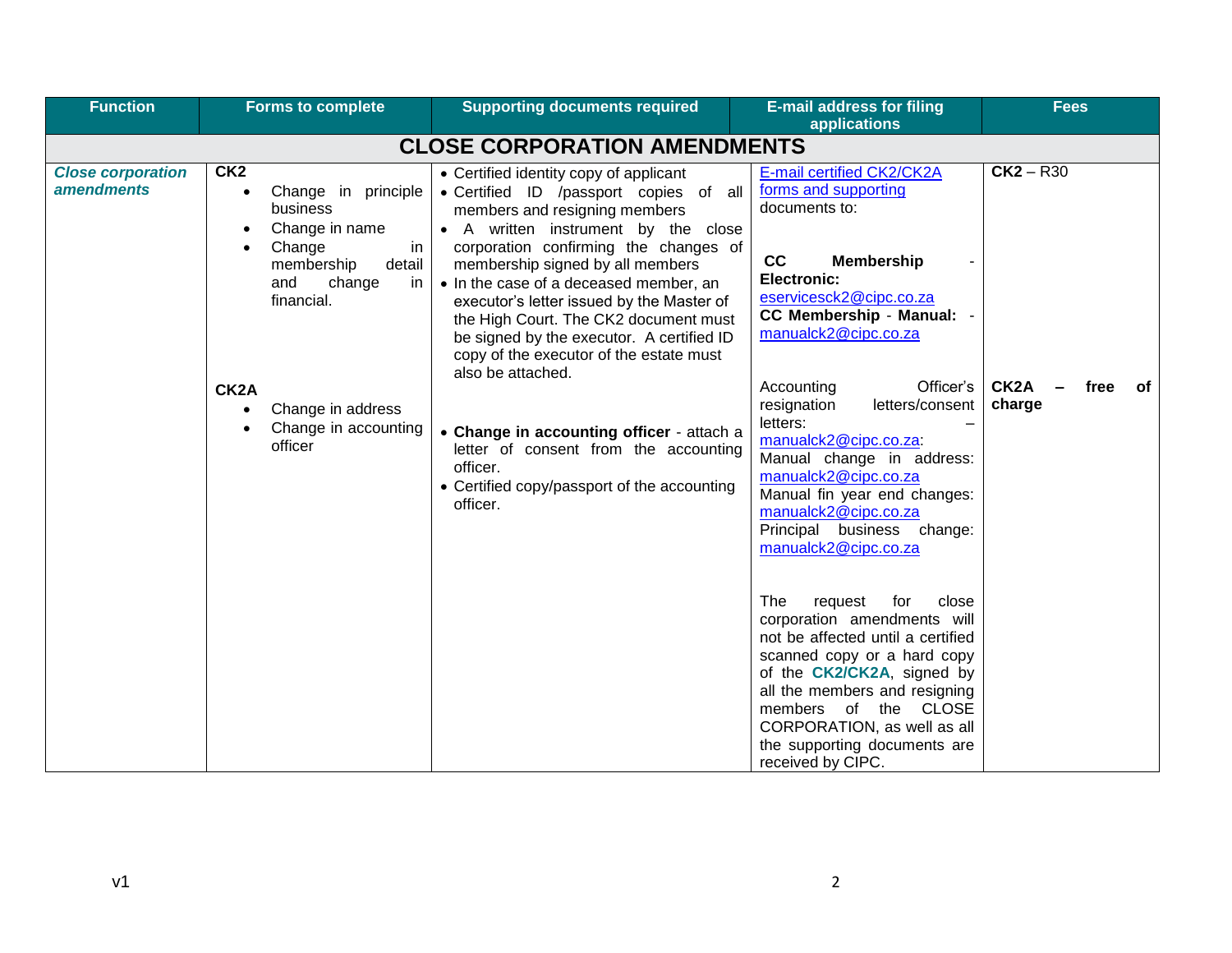| <b>Function</b>                               | <b>Forms to complete</b>                                                                                                                                                                                                                                 | <b>Supporting documents required</b>                                                                                                                                                                                                                                                                                                                                                                                                                                                                                                                                                                                                            | <b>E-mail address for filing</b><br>applications                                                                                                                                                                                                                                                                                                                                                                                                                              | <b>Fees</b>                                              |
|-----------------------------------------------|----------------------------------------------------------------------------------------------------------------------------------------------------------------------------------------------------------------------------------------------------------|-------------------------------------------------------------------------------------------------------------------------------------------------------------------------------------------------------------------------------------------------------------------------------------------------------------------------------------------------------------------------------------------------------------------------------------------------------------------------------------------------------------------------------------------------------------------------------------------------------------------------------------------------|-------------------------------------------------------------------------------------------------------------------------------------------------------------------------------------------------------------------------------------------------------------------------------------------------------------------------------------------------------------------------------------------------------------------------------------------------------------------------------|----------------------------------------------------------|
|                                               |                                                                                                                                                                                                                                                          | <b>CLOSE CORPORATION AMENDMENTS</b>                                                                                                                                                                                                                                                                                                                                                                                                                                                                                                                                                                                                             |                                                                                                                                                                                                                                                                                                                                                                                                                                                                               |                                                          |
| <b>Close corporation</b><br><i>amendments</i> | CK <sub>2</sub><br>Change in principle<br>$\bullet$<br>business<br>Change in name<br>Change<br>in<br>membership<br>detail<br>and<br>change<br>in<br>financial.<br>CK <sub>2</sub> A<br>Change in address<br>$\bullet$<br>Change in accounting<br>officer | • Certified identity copy of applicant<br>• Certified ID /passport copies of all<br>members and resigning members<br>• A written instrument by the close<br>corporation confirming the changes of<br>membership signed by all members<br>• In the case of a deceased member, an<br>executor's letter issued by the Master of<br>the High Court. The CK2 document must<br>be signed by the executor. A certified ID<br>copy of the executor of the estate must<br>also be attached.<br>• Change in accounting officer - attach a<br>letter of consent from the accounting<br>officer.<br>• Certified copy/passport of the accounting<br>officer. | E-mail certified CK2/CK2A<br>forms and supporting<br>documents to:<br>cc<br><b>Membership</b><br><b>Electronic:</b><br>eservicesck2@cipc.co.za<br><b>CC Membership - Manual:</b><br>manualck2@cipc.co.za<br>Officer's<br>Accounting<br>resignation<br>letters/consent<br>letters:<br>manualck2@cipc.co.za:<br>Manual change in address:<br>manualck2@cipc.co.za<br>Manual fin year end changes:<br>manualck2@cipc.co.za<br>Principal business change:<br>manualck2@cipc.co.za | $CK2 - R30$<br>CK <sub>2</sub> A<br>free<br>of<br>charge |
|                                               |                                                                                                                                                                                                                                                          |                                                                                                                                                                                                                                                                                                                                                                                                                                                                                                                                                                                                                                                 | close<br>The<br>request<br>for<br>corporation amendments will<br>not be affected until a certified<br>scanned copy or a hard copy<br>of the CK2/CK2A, signed by<br>all the members and resigning<br>members of the CLOSE<br>CORPORATION, as well as all<br>the supporting documents are<br>received by CIPC.                                                                                                                                                                  |                                                          |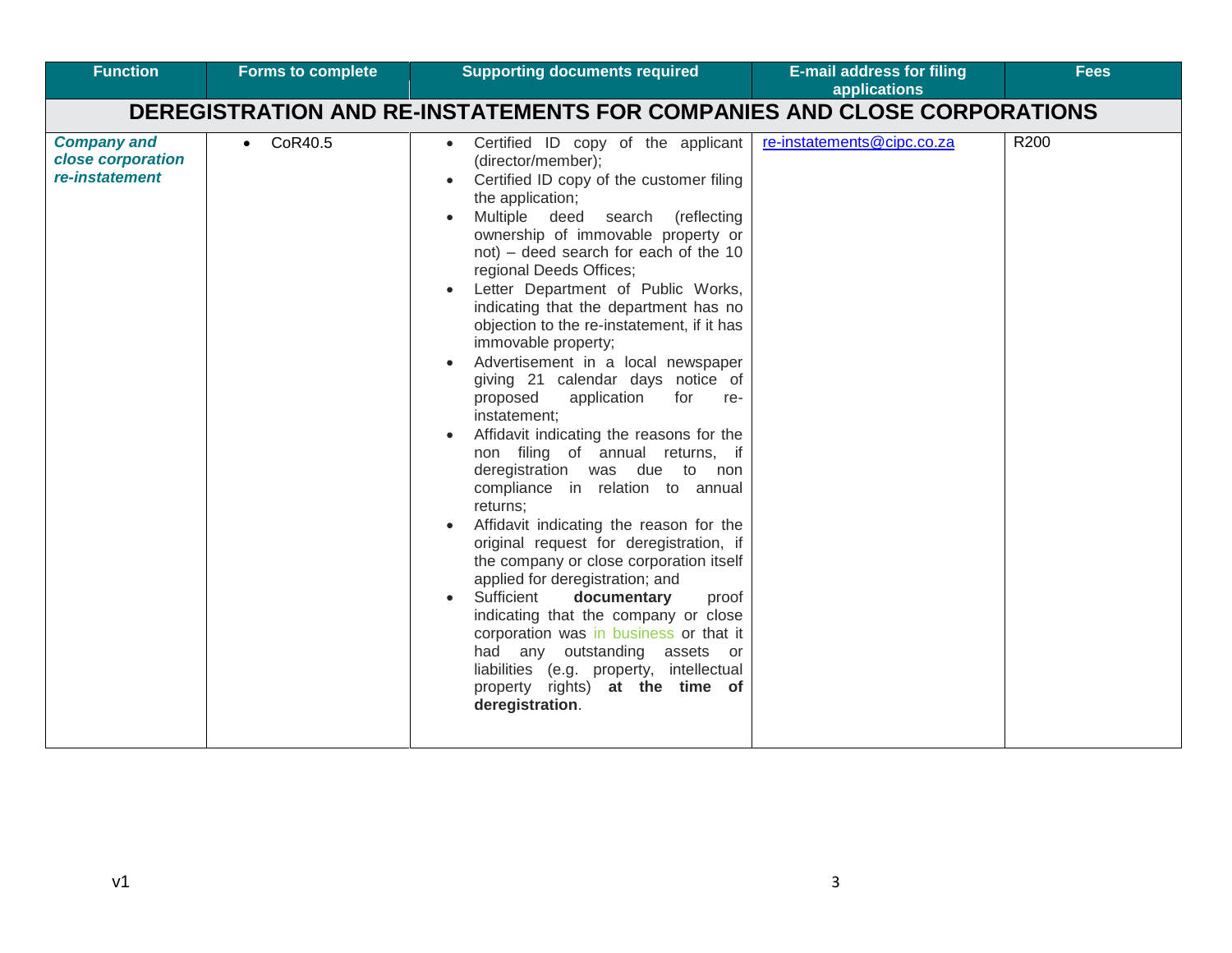| <b>Function</b>                                           | <b>Forms to complete</b> | <b>Supporting documents required</b>                                                                                                                                                                                                                                                                                                                                                                                                                                                                                                                                                                                                                                                                                                                                                                                                                                                                                                                                                                                                                                                                                                                                                        | <b>E-mail address for filing</b><br>applications | <b>Fees</b>      |
|-----------------------------------------------------------|--------------------------|---------------------------------------------------------------------------------------------------------------------------------------------------------------------------------------------------------------------------------------------------------------------------------------------------------------------------------------------------------------------------------------------------------------------------------------------------------------------------------------------------------------------------------------------------------------------------------------------------------------------------------------------------------------------------------------------------------------------------------------------------------------------------------------------------------------------------------------------------------------------------------------------------------------------------------------------------------------------------------------------------------------------------------------------------------------------------------------------------------------------------------------------------------------------------------------------|--------------------------------------------------|------------------|
|                                                           |                          | DEREGISTRATION AND RE-INSTATEMENTS FOR COMPANIES AND CLOSE CORPORATIONS                                                                                                                                                                                                                                                                                                                                                                                                                                                                                                                                                                                                                                                                                                                                                                                                                                                                                                                                                                                                                                                                                                                     |                                                  |                  |
| <b>Company and</b><br>close corporation<br>re-instatement | CoR40.5<br>$\bullet$     | Certified ID copy of the applicant<br>$\bullet$<br>(director/member);<br>Certified ID copy of the customer filing<br>the application;<br>Multiple deed search (reflecting<br>ownership of immovable property or<br>not) - deed search for each of the 10<br>regional Deeds Offices;<br>Letter Department of Public Works,<br>indicating that the department has no<br>objection to the re-instatement, if it has<br>immovable property;<br>Advertisement in a local newspaper<br>giving 21 calendar days notice of<br>proposed<br>application<br>for<br>re-<br>instatement;<br>Affidavit indicating the reasons for the<br>non filing of annual returns, if<br>deregistration was due to non<br>compliance in relation to annual<br>returns;<br>Affidavit indicating the reason for the<br>original request for deregistration, if<br>the company or close corporation itself<br>applied for deregistration; and<br>Sufficient<br>documentary<br>proof<br>$\bullet$<br>indicating that the company or close<br>corporation was in business or that it<br>had any outstanding<br>assets or<br>liabilities (e.g. property, intellectual<br>property rights) at the time of<br>deregistration. | re-instatements@cipc.co.za                       | R <sub>200</sub> |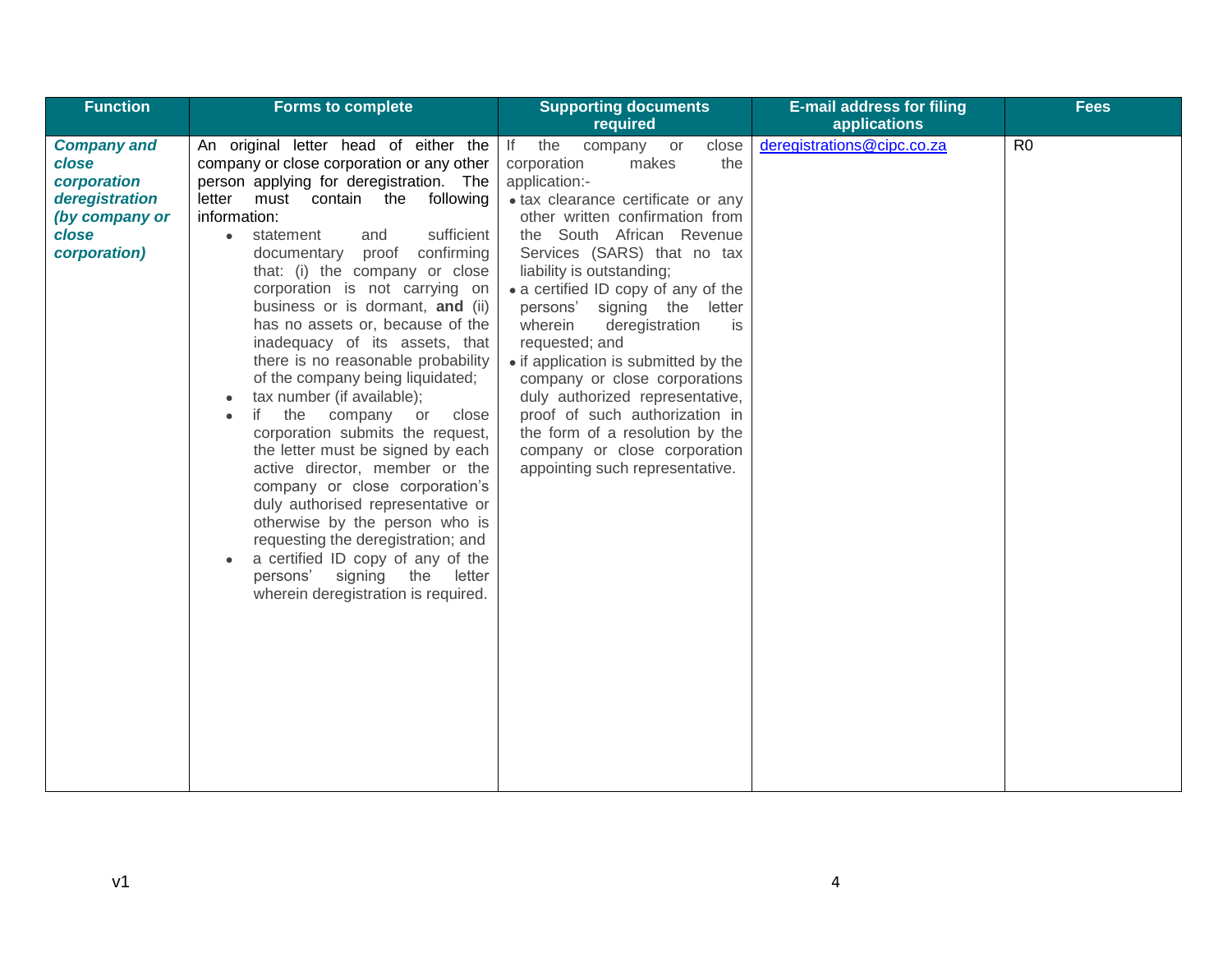| <b>Function</b>                                                                                         | <b>Forms to complete</b>                                                                                                                                                                                                                                                                                                                                                                                                                                                                                                                                                                                                                                                                                                                                                                                                                                                                                                                                                  | <b>Supporting documents</b><br>required                                                                                                                                                                                                                                                                                                                                                                                                                                                                                                                                                                                        | <b>E-mail address for filing</b><br>applications | <b>Fees</b>    |
|---------------------------------------------------------------------------------------------------------|---------------------------------------------------------------------------------------------------------------------------------------------------------------------------------------------------------------------------------------------------------------------------------------------------------------------------------------------------------------------------------------------------------------------------------------------------------------------------------------------------------------------------------------------------------------------------------------------------------------------------------------------------------------------------------------------------------------------------------------------------------------------------------------------------------------------------------------------------------------------------------------------------------------------------------------------------------------------------|--------------------------------------------------------------------------------------------------------------------------------------------------------------------------------------------------------------------------------------------------------------------------------------------------------------------------------------------------------------------------------------------------------------------------------------------------------------------------------------------------------------------------------------------------------------------------------------------------------------------------------|--------------------------------------------------|----------------|
| <b>Company and</b><br>close<br>corporation<br>deregistration<br>(by company or<br>close<br>corporation) | An original letter head of either the<br>company or close corporation or any other<br>person applying for deregistration. The<br>letter must contain the following<br>information:<br>sufficient<br>statement<br>and<br>$\bullet$<br>proof confirming<br>documentary<br>that: (i) the company or close<br>corporation is not carrying on<br>business or is dormant, and (ii)<br>has no assets or, because of the<br>inadequacy of its assets, that<br>there is no reasonable probability<br>of the company being liquidated;<br>tax number (if available);<br>the<br>if<br>company<br>close<br>or<br>corporation submits the request,<br>the letter must be signed by each<br>active director, member or the<br>company or close corporation's<br>duly authorised representative or<br>otherwise by the person who is<br>requesting the deregistration; and<br>a certified ID copy of any of the<br>signing the letter<br>persons'<br>wherein deregistration is required. | If the<br>company or<br>close<br>corporation<br>the<br>makes<br>application:-<br>· tax clearance certificate or any<br>other written confirmation from<br>the South African Revenue<br>Services (SARS) that no tax<br>liability is outstanding;<br>• a certified ID copy of any of the<br>persons' signing the letter<br>wherein<br>deregistration<br>is<br>requested; and<br>• if application is submitted by the<br>company or close corporations<br>duly authorized representative,<br>proof of such authorization in<br>the form of a resolution by the<br>company or close corporation<br>appointing such representative. | deregistrations@cipc.co.za                       | R <sub>0</sub> |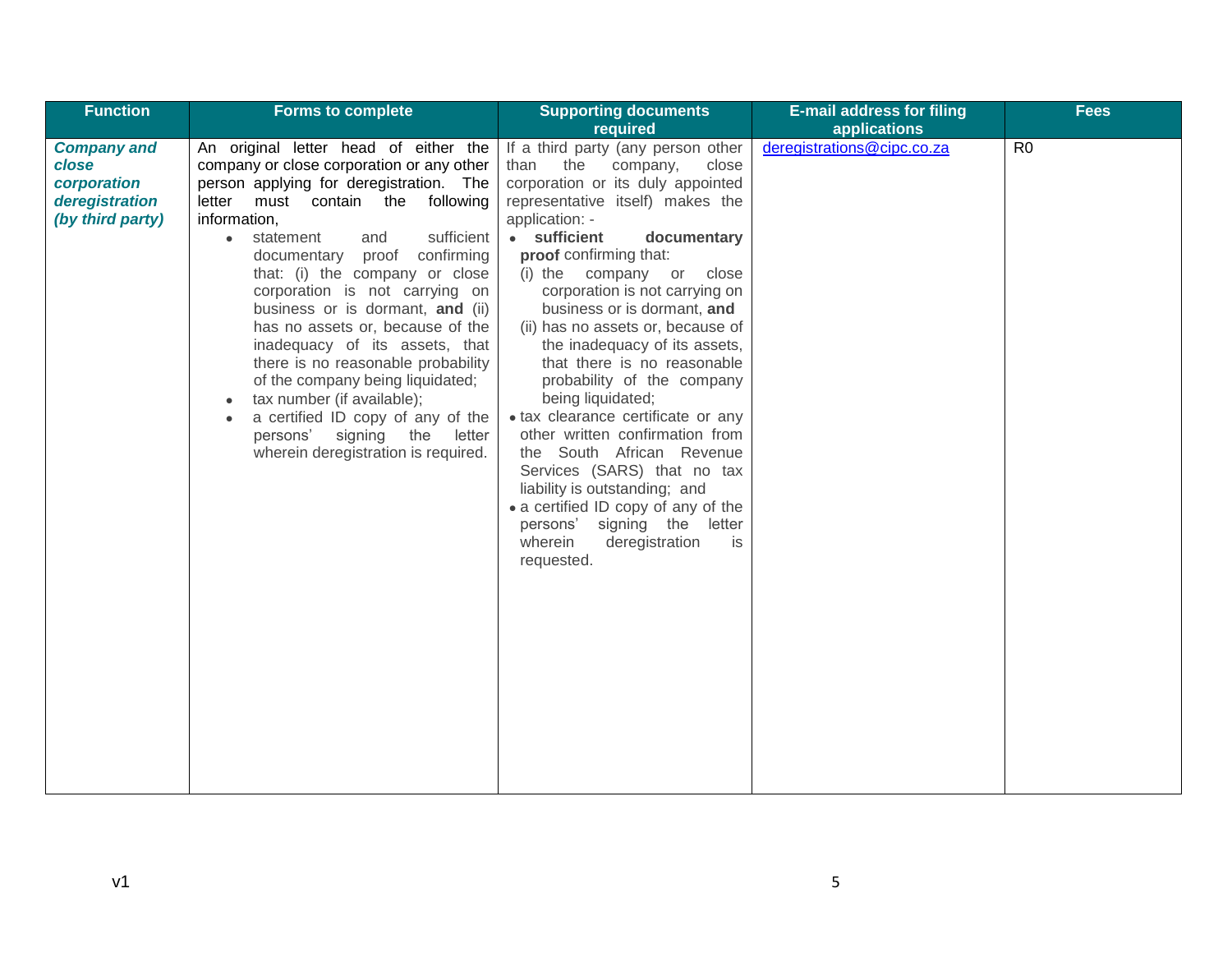| Function                                                                         | <b>Forms to complete</b>                                                                                                                                                                                                                                                                                                                                                                                                                                                                                                                                                                                                                                                    | <b>Supporting documents</b>                                                                                                                                                                                                                                                                                                                                                                                                                                                                                                                                                                                                                                                                                                                                                        | <b>E-mail address for filing</b> | <b>Fees</b>    |
|----------------------------------------------------------------------------------|-----------------------------------------------------------------------------------------------------------------------------------------------------------------------------------------------------------------------------------------------------------------------------------------------------------------------------------------------------------------------------------------------------------------------------------------------------------------------------------------------------------------------------------------------------------------------------------------------------------------------------------------------------------------------------|------------------------------------------------------------------------------------------------------------------------------------------------------------------------------------------------------------------------------------------------------------------------------------------------------------------------------------------------------------------------------------------------------------------------------------------------------------------------------------------------------------------------------------------------------------------------------------------------------------------------------------------------------------------------------------------------------------------------------------------------------------------------------------|----------------------------------|----------------|
|                                                                                  |                                                                                                                                                                                                                                                                                                                                                                                                                                                                                                                                                                                                                                                                             | required                                                                                                                                                                                                                                                                                                                                                                                                                                                                                                                                                                                                                                                                                                                                                                           | applications                     |                |
| <b>Company and</b><br>close<br>corporation<br>deregistration<br>(by third party) | An original letter head of either the<br>company or close corporation or any other<br>person applying for deregistration. The<br>letter must contain the following<br>information,<br>sufficient<br>statement<br>and<br>$\bullet$<br>documentary proof confirming<br>that: (i) the company or close<br>corporation is not carrying on<br>business or is dormant, and (ii)<br>has no assets or, because of the<br>inadequacy of its assets, that<br>there is no reasonable probability<br>of the company being liquidated;<br>tax number (if available);<br>a certified ID copy of any of the<br>signing<br>the<br>persons'<br>letter<br>wherein deregistration is required. | If a third party (any person other<br>than<br>the<br>company,<br>close<br>corporation or its duly appointed<br>representative itself) makes the<br>application: -<br>• sufficient<br>documentary<br>proof confirming that:<br>close<br>(i) the company or<br>corporation is not carrying on<br>business or is dormant, and<br>(ii) has no assets or, because of<br>the inadequacy of its assets,<br>that there is no reasonable<br>probability of the company<br>being liquidated;<br>• tax clearance certificate or any<br>other written confirmation from<br>the South African Revenue<br>Services (SARS) that no tax<br>liability is outstanding; and<br>• a certified ID copy of any of the<br>persons'<br>signing the letter<br>wherein<br>deregistration<br>is<br>requested. | deregistrations@cipc.co.za       | R <sub>0</sub> |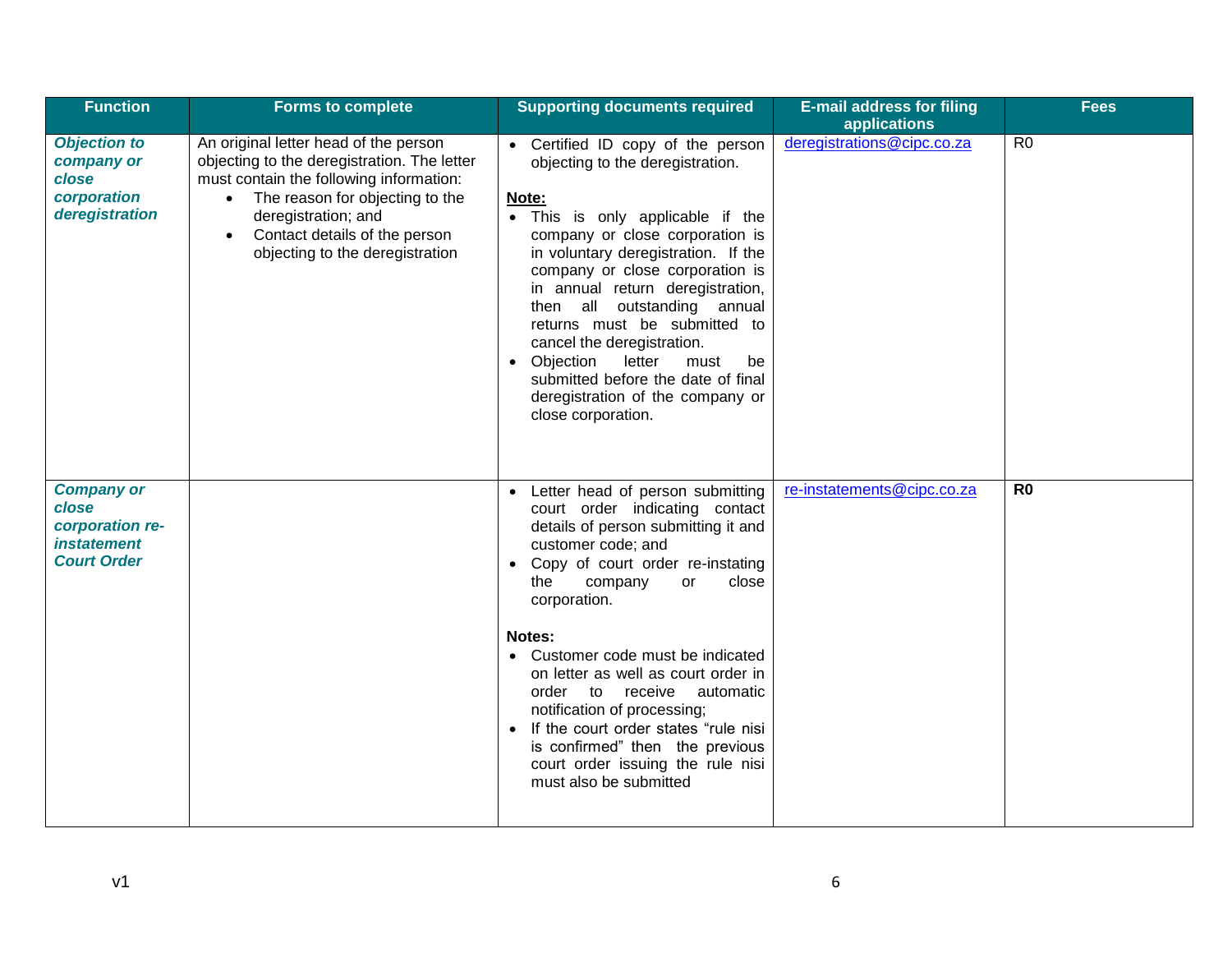| <b>Function</b>                                                                           | <b>Forms to complete</b>                                                                                                                                                                                                                                                                | <b>Supporting documents required</b>                                                                                                                                                                                                                                                                                                                                                                                                                                                                                                               | <b>E-mail address for filing</b><br>applications | <b>Fees</b>    |
|-------------------------------------------------------------------------------------------|-----------------------------------------------------------------------------------------------------------------------------------------------------------------------------------------------------------------------------------------------------------------------------------------|----------------------------------------------------------------------------------------------------------------------------------------------------------------------------------------------------------------------------------------------------------------------------------------------------------------------------------------------------------------------------------------------------------------------------------------------------------------------------------------------------------------------------------------------------|--------------------------------------------------|----------------|
| <b>Objection to</b><br>company or<br>close<br>corporation<br>deregistration               | An original letter head of the person<br>objecting to the deregistration. The letter<br>must contain the following information:<br>The reason for objecting to the<br>$\bullet$<br>deregistration; and<br>Contact details of the person<br>$\bullet$<br>objecting to the deregistration | • Certified ID copy of the person<br>objecting to the deregistration.<br>Note:<br>• This is only applicable if the<br>company or close corporation is<br>in voluntary deregistration. If the<br>company or close corporation is<br>in annual return deregistration,<br>then all outstanding annual<br>returns must be submitted to<br>cancel the deregistration.<br>Objection<br>letter<br>be<br>must<br>$\bullet$<br>submitted before the date of final<br>deregistration of the company or<br>close corporation.                                 | deregistrations@cipc.co.za                       | R <sub>0</sub> |
| <b>Company or</b><br>close<br>corporation re-<br><i>instatement</i><br><b>Court Order</b> |                                                                                                                                                                                                                                                                                         | Letter head of person submitting<br>$\bullet$<br>court order indicating contact<br>details of person submitting it and<br>customer code; and<br>Copy of court order re-instating<br>$\bullet$<br>the<br>company<br>close<br><b>or</b><br>corporation.<br>Notes:<br>• Customer code must be indicated<br>on letter as well as court order in<br>order to receive automatic<br>notification of processing;<br>If the court order states "rule nisi<br>is confirmed" then the previous<br>court order issuing the rule nisi<br>must also be submitted | re-instatements@cipc.co.za                       | R <sub>0</sub> |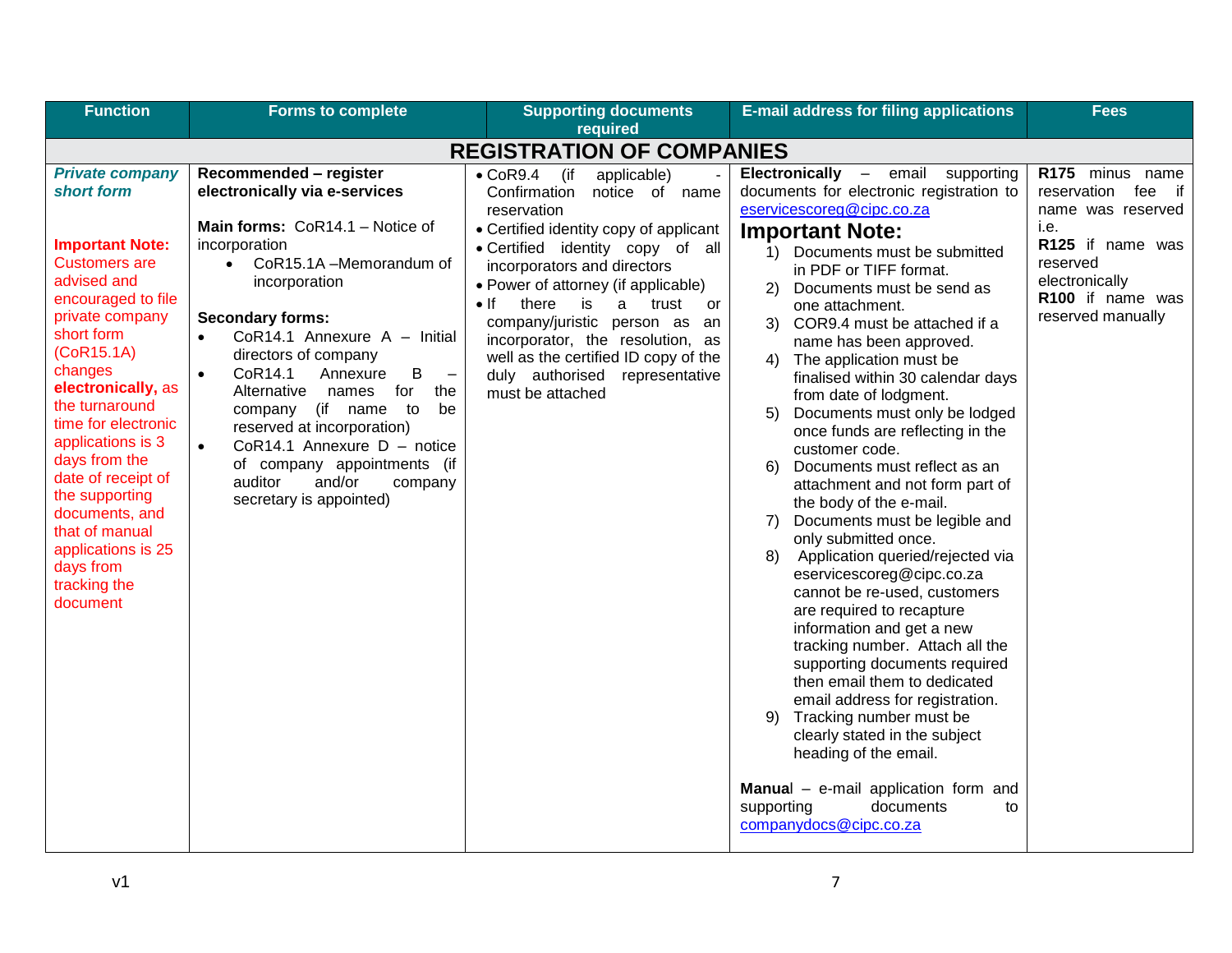| <b>Function</b>                                                                                                                                                                                                                                                                                                                                                                                                                       | <b>Forms to complete</b>                                                                                                                                                                                                                                                                                                                                                                                                                                                                                                                                                                | <b>Supporting documents</b><br>required                                                                                                                                                                                                                                                                                                                                                                                                                                | <b>E-mail address for filing applications</b>                                                                                                                                                                                                                                                                                                                                                                                                                                                                                                                                                                                                                                                                                                                                                                                                                                                                                                                                                                                                                                                                                                                                                              | Fees                                                                                                                                                             |
|---------------------------------------------------------------------------------------------------------------------------------------------------------------------------------------------------------------------------------------------------------------------------------------------------------------------------------------------------------------------------------------------------------------------------------------|-----------------------------------------------------------------------------------------------------------------------------------------------------------------------------------------------------------------------------------------------------------------------------------------------------------------------------------------------------------------------------------------------------------------------------------------------------------------------------------------------------------------------------------------------------------------------------------------|------------------------------------------------------------------------------------------------------------------------------------------------------------------------------------------------------------------------------------------------------------------------------------------------------------------------------------------------------------------------------------------------------------------------------------------------------------------------|------------------------------------------------------------------------------------------------------------------------------------------------------------------------------------------------------------------------------------------------------------------------------------------------------------------------------------------------------------------------------------------------------------------------------------------------------------------------------------------------------------------------------------------------------------------------------------------------------------------------------------------------------------------------------------------------------------------------------------------------------------------------------------------------------------------------------------------------------------------------------------------------------------------------------------------------------------------------------------------------------------------------------------------------------------------------------------------------------------------------------------------------------------------------------------------------------------|------------------------------------------------------------------------------------------------------------------------------------------------------------------|
|                                                                                                                                                                                                                                                                                                                                                                                                                                       |                                                                                                                                                                                                                                                                                                                                                                                                                                                                                                                                                                                         | <b>REGISTRATION OF COMPANIES</b>                                                                                                                                                                                                                                                                                                                                                                                                                                       |                                                                                                                                                                                                                                                                                                                                                                                                                                                                                                                                                                                                                                                                                                                                                                                                                                                                                                                                                                                                                                                                                                                                                                                                            |                                                                                                                                                                  |
| <b>Private company</b><br>short form<br><b>Important Note:</b><br><b>Customers are</b><br>advised and<br>encouraged to file<br>private company<br>short form<br>(CoR15.1A)<br>changes<br>electronically, as<br>the turnaround<br>time for electronic<br>applications is 3<br>days from the<br>date of receipt of<br>the supporting<br>documents, and<br>that of manual<br>applications is 25<br>days from<br>tracking the<br>document | Recommended - register<br>electronically via e-services<br>Main forms: CoR14.1 - Notice of<br>incorporation<br>CoR15.1A-Memorandum of<br>$\bullet$<br>incorporation<br><b>Secondary forms:</b><br>CoR14.1 Annexure A - Initial<br>$\bullet$<br>directors of company<br>CoR14.1<br>B<br>Annexure<br>$\overline{\phantom{a}}$<br>$\bullet$<br>Alternative<br>for<br>the<br>names<br>(if name<br>to<br>be<br>company<br>reserved at incorporation)<br>CoR14.1 Annexure $D -$ notice<br>$\bullet$<br>of company appointments (if<br>auditor<br>and/or<br>company<br>secretary is appointed) | $\bullet$ CoR9.4 (if<br>applicable)<br>Confirmation<br>notice of name<br>reservation<br>• Certified identity copy of applicant<br>• Certified identity copy of all<br>incorporators and directors<br>• Power of attorney (if applicable)<br>$\bullet$ If<br>there<br>is<br>a -<br>trust<br>or<br>company/juristic person as<br>an<br>incorporator, the resolution, as<br>well as the certified ID copy of the<br>duly authorised<br>representative<br>must be attached | <b>Electronically</b><br>- email supporting<br>documents for electronic registration to<br>eservicescoreg@cipc.co.za<br><b>Important Note:</b><br>1)<br>Documents must be submitted<br>in PDF or TIFF format.<br>2)<br>Documents must be send as<br>one attachment.<br>COR9.4 must be attached if a<br>3)<br>name has been approved.<br>The application must be<br>4)<br>finalised within 30 calendar days<br>from date of lodgment.<br>5)<br>Documents must only be lodged<br>once funds are reflecting in the<br>customer code.<br>Documents must reflect as an<br>6)<br>attachment and not form part of<br>the body of the e-mail.<br>Documents must be legible and<br>7)<br>only submitted once.<br>Application queried/rejected via<br>8)<br>eservicescoreg@cipc.co.za<br>cannot be re-used, customers<br>are required to recapture<br>information and get a new<br>tracking number. Attach all the<br>supporting documents required<br>then email them to dedicated<br>email address for registration.<br>Tracking number must be<br>9)<br>clearly stated in the subject<br>heading of the email.<br>Manual - e-mail application form and<br>supporting<br>documents<br>to<br>companydocs@cipc.co.za | R175 minus name<br>reservation<br>fee if<br>name was reserved<br>i.e.<br>R125 if name was<br>reserved<br>electronically<br>R100 if name was<br>reserved manually |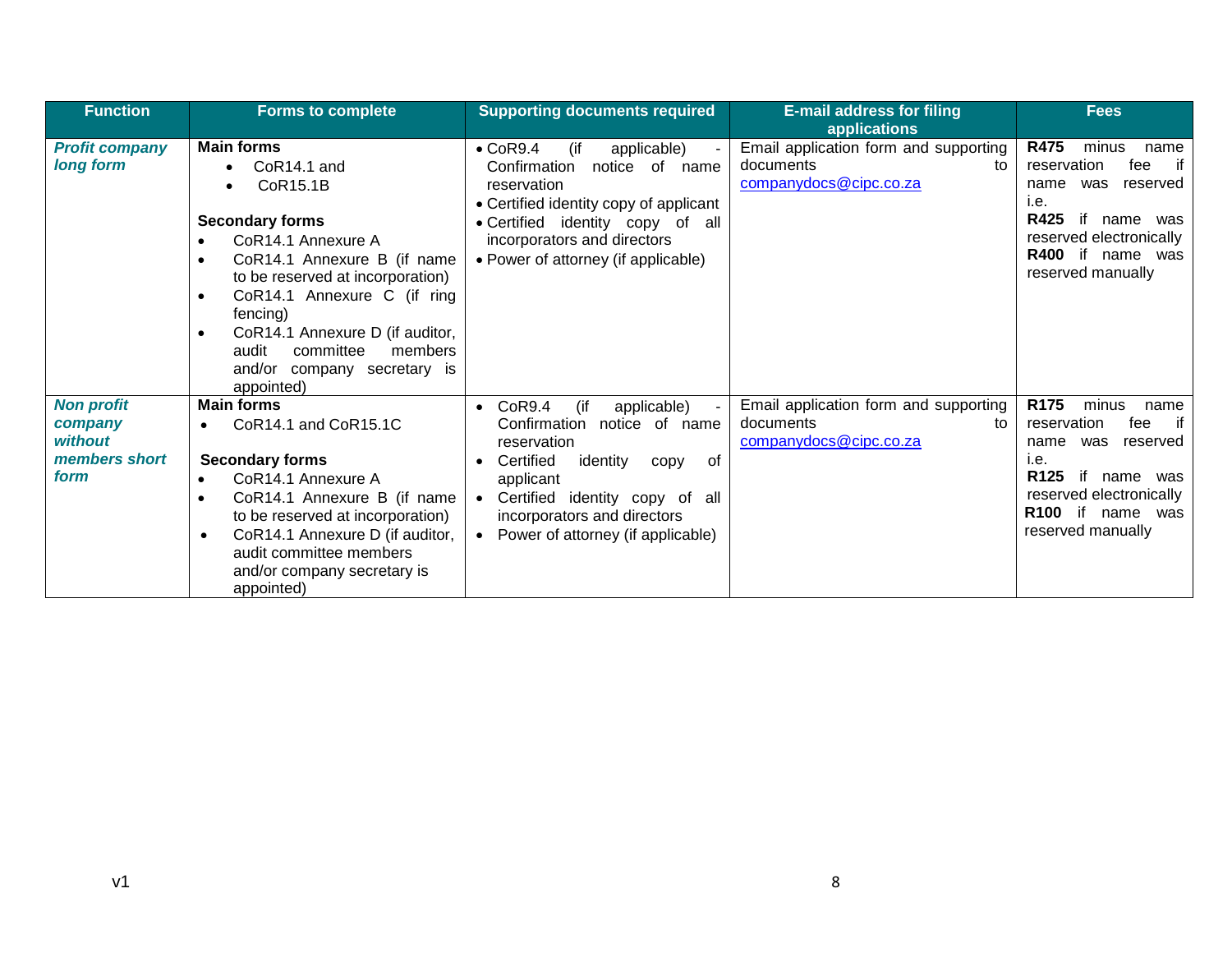| <b>Function</b>                                                  | <b>Forms to complete</b>                                                                                                                                                                                                                                                                                                                | <b>Supporting documents required</b>                                                                                                                                                                                                                                | <b>E-mail address for filing</b><br><b>applications</b>                            | <b>Fees</b>                                                                                                                                                                                                   |
|------------------------------------------------------------------|-----------------------------------------------------------------------------------------------------------------------------------------------------------------------------------------------------------------------------------------------------------------------------------------------------------------------------------------|---------------------------------------------------------------------------------------------------------------------------------------------------------------------------------------------------------------------------------------------------------------------|------------------------------------------------------------------------------------|---------------------------------------------------------------------------------------------------------------------------------------------------------------------------------------------------------------|
| <b>Profit company</b><br>long form                               | <b>Main forms</b><br>CoR <sub>14.1</sub> and<br>CoR15.1B<br><b>Secondary forms</b><br>CoR14.1 Annexure A<br>CoR14.1 Annexure B (if name<br>to be reserved at incorporation)<br>CoR14.1 Annexure C (if ring<br>fencing)<br>CoR14.1 Annexure D (if auditor,<br>committee<br>audit<br>members<br>and/or company secretary is<br>appointed) | (if<br>$\bullet$ CoR9.4<br>applicable)<br>Confirmation<br>notice of name<br>reservation<br>• Certified identity copy of applicant<br>• Certified identity copy of all<br>incorporators and directors<br>• Power of attorney (if applicable)                         | Email application form and supporting<br>documents<br>tο<br>companydocs@cipc.co.za | <b>R475</b><br>minus<br>name<br>if<br>reservation<br>fee<br>reserved<br>name<br>was<br>i.e.<br>R425<br>if<br>name<br>was<br>reserved electronically<br>R400 if name was<br>reserved manually                  |
| <b>Non profit</b><br>company<br>without<br>members short<br>form | <b>Main forms</b><br>CoR14.1 and CoR15.1C<br><b>Secondary forms</b><br>CoR14.1 Annexure A<br>CoR14.1 Annexure B (if name<br>to be reserved at incorporation)<br>CoR14.1 Annexure D (if auditor,<br>$\bullet$<br>audit committee members<br>and/or company secretary is<br>appointed)                                                    | CoR9.4<br>(if<br>applicable)<br>Confirmation<br>notice of name<br>reservation<br>Certified<br>identity<br>. of<br>copy<br>applicant<br>Certified identity copy of all<br>$\bullet$<br>incorporators and directors<br>Power of attorney (if applicable)<br>$\bullet$ | Email application form and supporting<br>documents<br>to<br>companydocs@cipc.co.za | R <sub>175</sub><br>minus<br>name<br>if<br>reservation<br>fee<br>reserved<br>name<br>was<br>i.e.<br>R <sub>125</sub><br>if<br>name was<br>reserved electronically<br>R100 if name<br>was<br>reserved manually |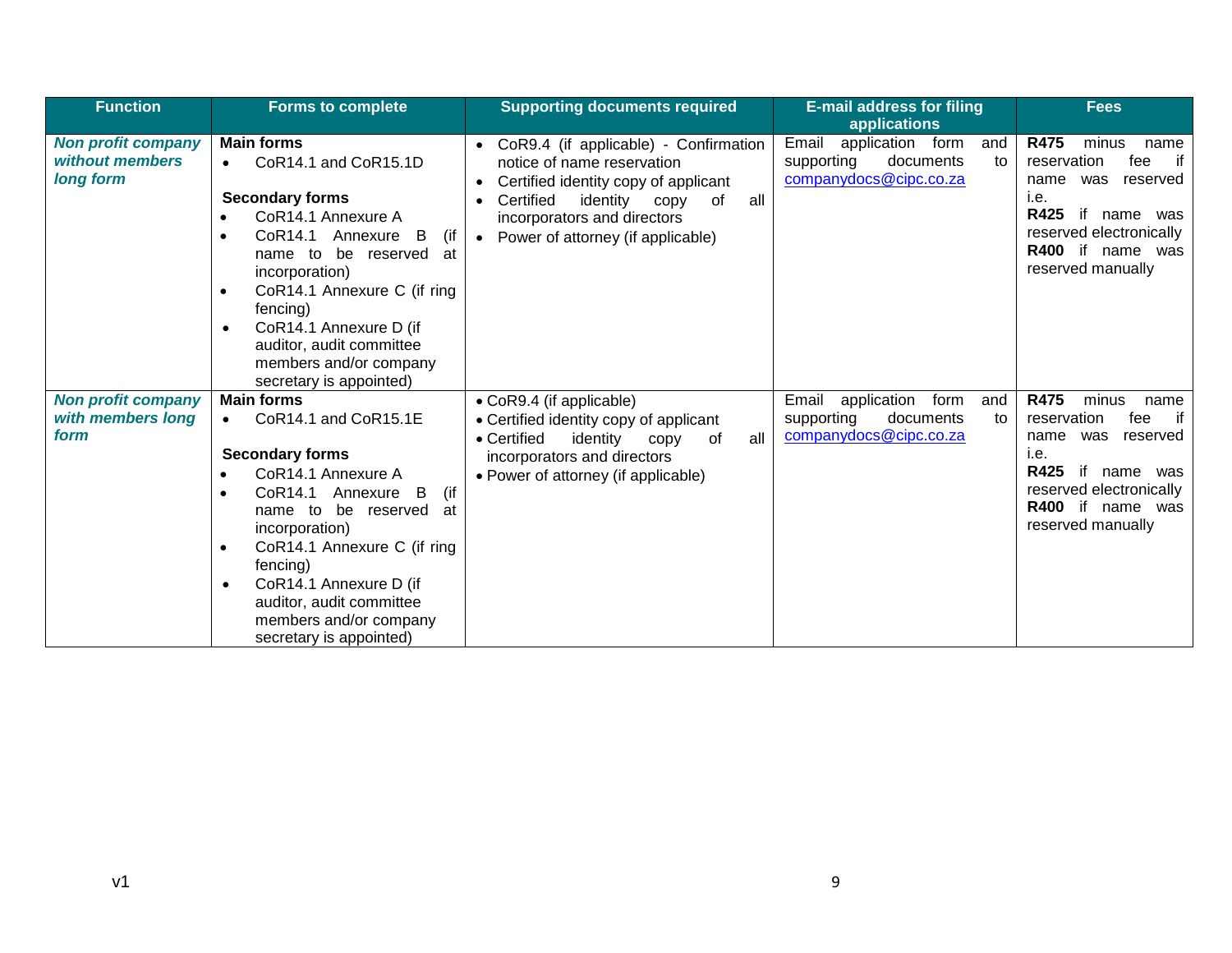| <b>Function</b>                                           | Forms to complete                                                                                                                                                                                                                                                                                                                                                                  | <b>Supporting documents required</b>                                                                                                                                                                                         | <b>E-mail address for filing</b><br>applications                                            | <b>Fees</b>                                                                                                                                                                            |
|-----------------------------------------------------------|------------------------------------------------------------------------------------------------------------------------------------------------------------------------------------------------------------------------------------------------------------------------------------------------------------------------------------------------------------------------------------|------------------------------------------------------------------------------------------------------------------------------------------------------------------------------------------------------------------------------|---------------------------------------------------------------------------------------------|----------------------------------------------------------------------------------------------------------------------------------------------------------------------------------------|
| <b>Non profit company</b><br>without members<br>long form | <b>Main forms</b><br>CoR14.1 and CoR15.1D<br><b>Secondary forms</b><br>CoR14.1 Annexure A<br>CoR14.1 Annexure B<br>(if<br>be reserved<br>name to<br>at<br>incorporation)<br>CoR14.1 Annexure C (if ring<br>$\bullet$<br>fencing)<br>CoR14.1 Annexure D (if<br>$\bullet$<br>auditor, audit committee<br>members and/or company<br>secretary is appointed)                           | CoR9.4 (if applicable) - Confirmation<br>notice of name reservation<br>Certified identity copy of applicant<br>Certified<br>all<br>identity copy<br>0f<br>incorporators and directors<br>• Power of attorney (if applicable) | Email<br>application form<br>and<br>supporting<br>documents<br>to<br>companydocs@cipc.co.za | R475<br>minus<br>name<br>if<br>reservation<br>fee<br>name was reserved<br>i.e.<br>R425<br>if<br>name was<br>reserved electronically<br>R400 if name was<br>reserved manually           |
| <b>Non profit company</b><br>with members long<br>form    | <b>Main forms</b><br>CoR14.1 and CoR15.1E<br>$\bullet$<br><b>Secondary forms</b><br>CoR14.1 Annexure A<br>CoR14.1 Annexure B<br>(if<br>$\bullet$<br>be reserved<br>name to<br>at<br>incorporation)<br>CoR14.1 Annexure C (if ring<br>$\bullet$<br>fencing)<br>CoR14.1 Annexure D (if<br>$\bullet$<br>auditor, audit committee<br>members and/or company<br>secretary is appointed) | • CoR9.4 (if applicable)<br>• Certified identity copy of applicant<br>• Certified<br>identity<br>all<br>0f<br>copy<br>incorporators and directors<br>• Power of attorney (if applicable)                                     | Email application<br>form<br>and<br>supporting<br>documents<br>to<br>companydocs@cipc.co.za | R475<br>minus<br>name<br>if<br>reservation<br>fee<br>reserved<br>name<br>was<br>i.e.<br><b>R425</b><br>if name was<br>reserved electronically<br>R400 if name was<br>reserved manually |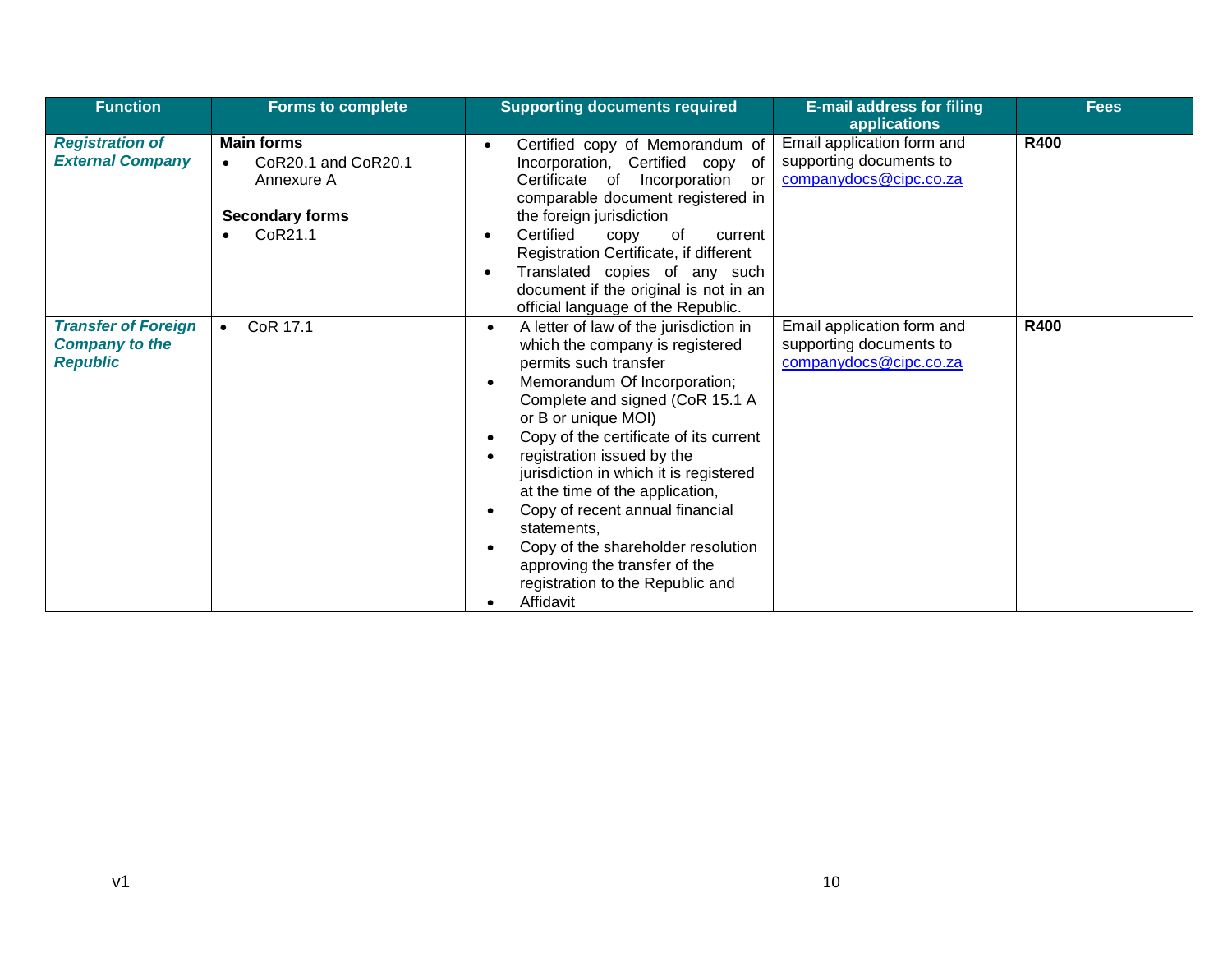| <b>Function</b>                                                        | <b>Forms to complete</b>                                                                                              | <b>Supporting documents required</b>                                                                                                                                                                                                                                                                                                                                                                                                                                                                                                     | <b>E-mail address for filing</b><br>applications                                | <b>Fees</b> |
|------------------------------------------------------------------------|-----------------------------------------------------------------------------------------------------------------------|------------------------------------------------------------------------------------------------------------------------------------------------------------------------------------------------------------------------------------------------------------------------------------------------------------------------------------------------------------------------------------------------------------------------------------------------------------------------------------------------------------------------------------------|---------------------------------------------------------------------------------|-------------|
| <b>Registration of</b><br><b>External Company</b>                      | <b>Main forms</b><br>CoR20.1 and CoR20.1<br>$\bullet$<br>Annexure A<br><b>Secondary forms</b><br>CoR21.1<br>$\bullet$ | Certified copy of Memorandum of<br>Incorporation, Certified copy of<br>Certificate of Incorporation<br>-or<br>comparable document registered in<br>the foreign jurisdiction<br>Certified<br>copy<br>оf<br>current<br>Registration Certificate, if different<br>Translated copies of any such<br>document if the original is not in an<br>official language of the Republic.                                                                                                                                                              | Email application form and<br>supporting documents to<br>companydocs@cipc.co.za | <b>R400</b> |
| <b>Transfer of Foreign</b><br><b>Company to the</b><br><b>Republic</b> | CoR 17.1<br>$\bullet$                                                                                                 | A letter of law of the jurisdiction in<br>$\bullet$<br>which the company is registered<br>permits such transfer<br>Memorandum Of Incorporation;<br>Complete and signed (CoR 15.1 A<br>or B or unique MOI)<br>Copy of the certificate of its current<br>registration issued by the<br>jurisdiction in which it is registered<br>at the time of the application,<br>Copy of recent annual financial<br>statements,<br>Copy of the shareholder resolution<br>approving the transfer of the<br>registration to the Republic and<br>Affidavit | Email application form and<br>supporting documents to<br>companydocs@cipc.co.za | <b>R400</b> |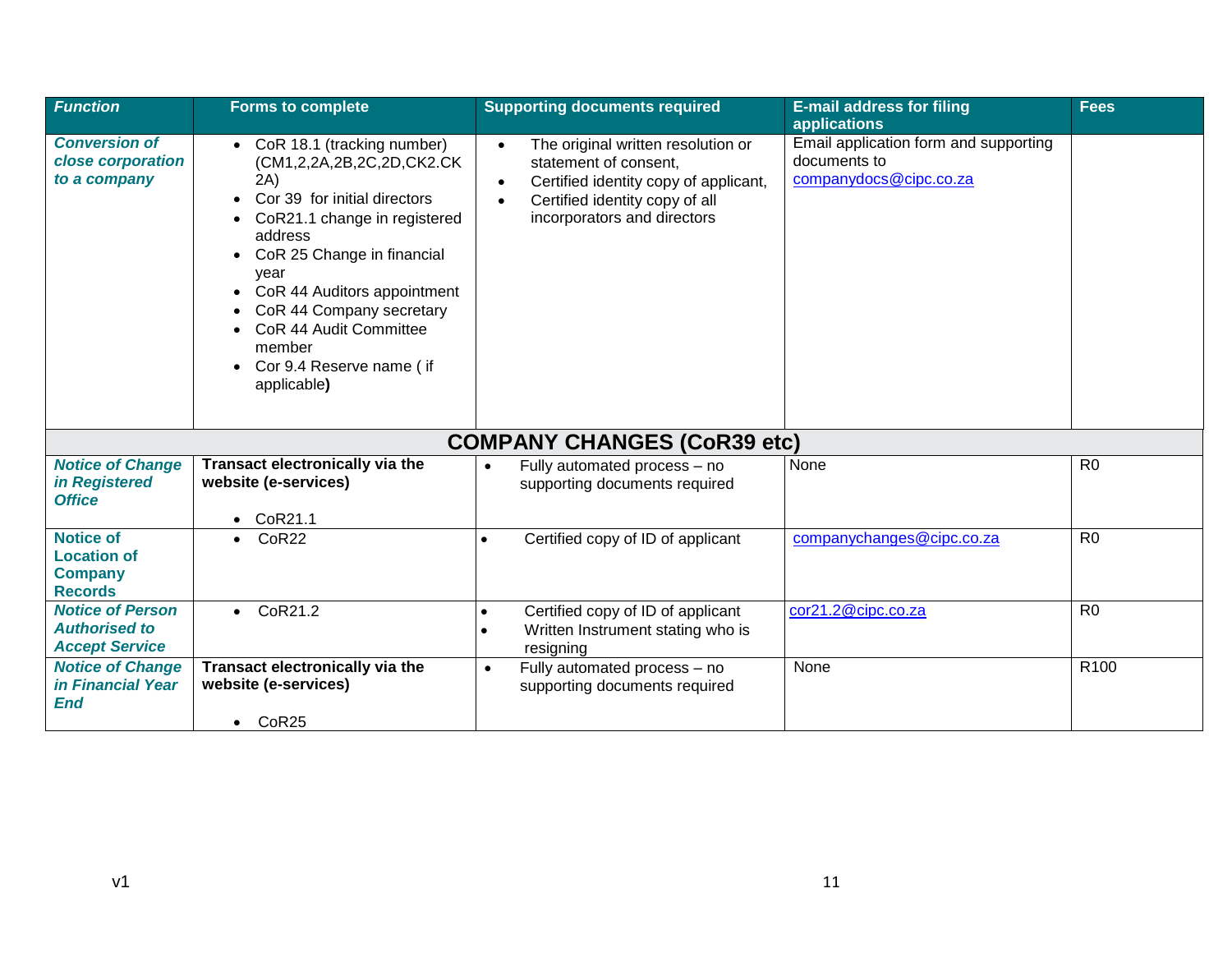| <b>Function</b>                                                            | <b>Forms to complete</b>                                                                                                                                                                                                                                                                                                     | <b>Supporting documents required</b>                                                                                                                                                                         | <b>E-mail address for filing</b><br>applications                                | <b>Fees</b>      |
|----------------------------------------------------------------------------|------------------------------------------------------------------------------------------------------------------------------------------------------------------------------------------------------------------------------------------------------------------------------------------------------------------------------|--------------------------------------------------------------------------------------------------------------------------------------------------------------------------------------------------------------|---------------------------------------------------------------------------------|------------------|
| <b>Conversion of</b><br>close corporation<br>to a company                  | • CoR 18.1 (tracking number)<br>(CM1,2,2A,2B,2C,2D,CK2.CK)<br>2A)<br>Cor 39 for initial directors<br>CoR21.1 change in registered<br>address<br>CoR 25 Change in financial<br>year<br>CoR 44 Auditors appointment<br>CoR 44 Company secretary<br>CoR 44 Audit Committee<br>member<br>Cor 9.4 Reserve name (if<br>applicable) | The original written resolution or<br>$\bullet$<br>statement of consent.<br>Certified identity copy of applicant,<br>$\bullet$<br>Certified identity copy of all<br>$\bullet$<br>incorporators and directors | Email application form and supporting<br>documents to<br>companydocs@cipc.co.za |                  |
|                                                                            |                                                                                                                                                                                                                                                                                                                              | <b>COMPANY CHANGES (CoR39 etc)</b>                                                                                                                                                                           |                                                                                 |                  |
| <b>Notice of Change</b><br>in Registered<br><b>Office</b>                  | <b>Transact electronically via the</b><br>website (e-services)<br>CoR21.1<br>$\bullet$                                                                                                                                                                                                                                       | Fully automated process - no<br>$\bullet$<br>supporting documents required                                                                                                                                   | None                                                                            | R <sub>0</sub>   |
| <b>Notice of</b><br><b>Location of</b><br><b>Company</b><br><b>Records</b> | CoR <sub>22</sub>                                                                                                                                                                                                                                                                                                            | Certified copy of ID of applicant<br>$\bullet$                                                                                                                                                               | companychanges@cipc.co.za                                                       | R <sub>0</sub>   |
| <b>Notice of Person</b><br><b>Authorised to</b><br><b>Accept Service</b>   | $\bullet$ CoR21.2                                                                                                                                                                                                                                                                                                            | Certified copy of ID of applicant<br>$\bullet$<br>Written Instrument stating who is<br>$\bullet$<br>resigning                                                                                                | cor21.2@cipc.co.za                                                              | R <sub>0</sub>   |
| <b>Notice of Change</b><br><i>in Financial Year</i><br><b>End</b>          | Transact electronically via the<br>website (e-services)                                                                                                                                                                                                                                                                      | Fully automated process - no<br>$\bullet$<br>supporting documents required                                                                                                                                   | None                                                                            | R <sub>100</sub> |
|                                                                            | $\bullet$ CoR25                                                                                                                                                                                                                                                                                                              |                                                                                                                                                                                                              |                                                                                 |                  |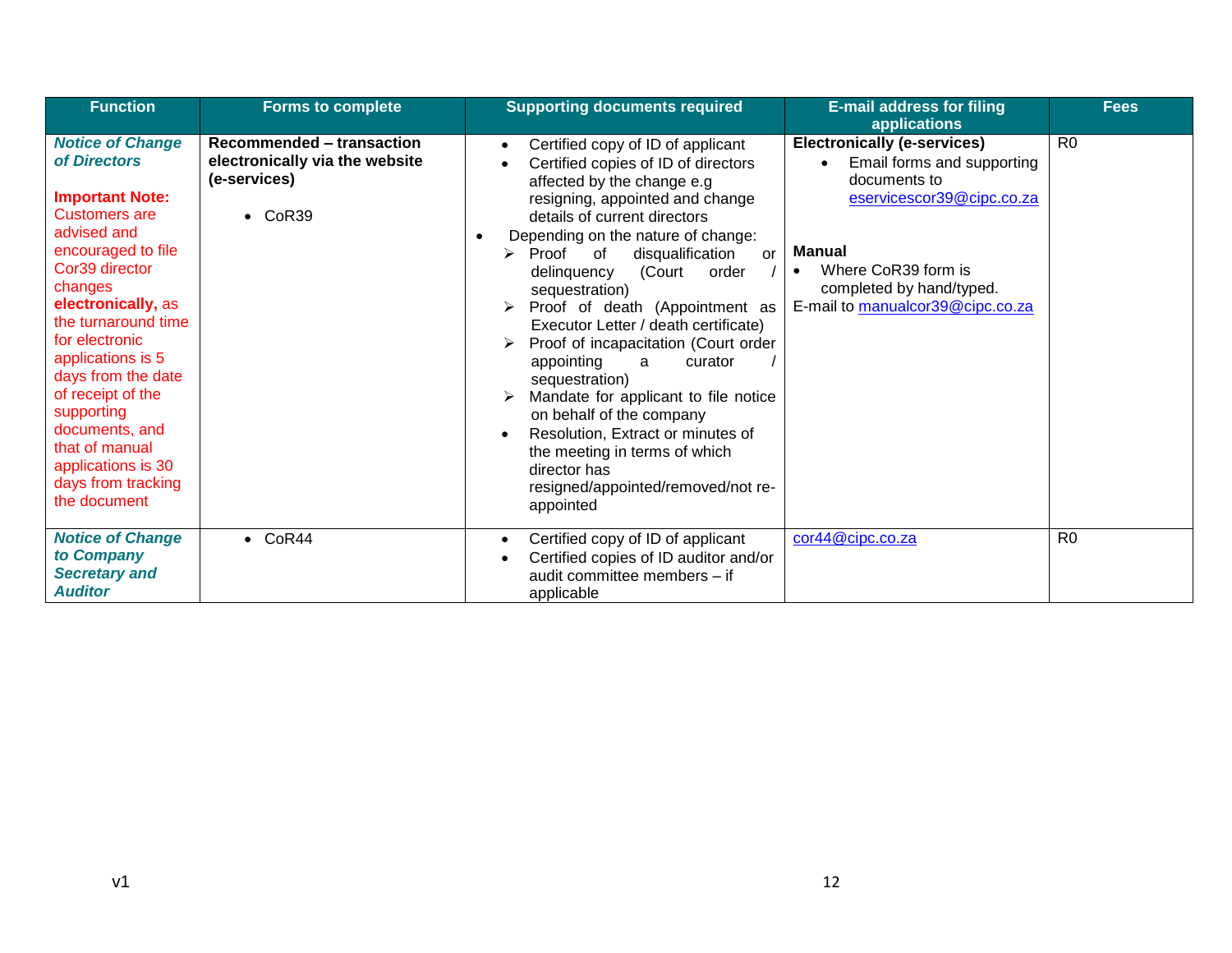| <b>Function</b>                                                                                                                                                                                                                                                                                                                                                                                          | <b>Forms to complete</b>                                                                                 | <b>Supporting documents required</b>                                                                                                                                                                                                                                                                                                                                                                                                                                                                                                                                                                                                                                                                       | <b>E-mail address for filing</b><br>applications                                                                                                                                                                            | <b>Fees</b>    |
|----------------------------------------------------------------------------------------------------------------------------------------------------------------------------------------------------------------------------------------------------------------------------------------------------------------------------------------------------------------------------------------------------------|----------------------------------------------------------------------------------------------------------|------------------------------------------------------------------------------------------------------------------------------------------------------------------------------------------------------------------------------------------------------------------------------------------------------------------------------------------------------------------------------------------------------------------------------------------------------------------------------------------------------------------------------------------------------------------------------------------------------------------------------------------------------------------------------------------------------------|-----------------------------------------------------------------------------------------------------------------------------------------------------------------------------------------------------------------------------|----------------|
| <b>Notice of Change</b><br>of Directors<br><b>Important Note:</b><br><b>Customers are</b><br>advised and<br>encouraged to file<br>Cor39 director<br>changes<br>electronically, as<br>the turnaround time<br>for electronic<br>applications is 5<br>days from the date<br>of receipt of the<br>supporting<br>documents, and<br>that of manual<br>applications is 30<br>days from tracking<br>the document | <b>Recommended - transaction</b><br>electronically via the website<br>(e-services)<br>CoR39<br>$\bullet$ | Certified copy of ID of applicant<br>$\bullet$<br>Certified copies of ID of directors<br>affected by the change e.g<br>resigning, appointed and change<br>details of current directors<br>Depending on the nature of change:<br>Proof of<br>disqualification<br>➤<br>or<br>(Court<br>delinquency<br>order<br>sequestration)<br>Proof of death (Appointment as<br>Executor Letter / death certificate)<br>Proof of incapacitation (Court order<br>appointing<br>a<br>curator<br>sequestration)<br>Mandate for applicant to file notice<br>on behalf of the company<br>Resolution, Extract or minutes of<br>the meeting in terms of which<br>director has<br>resigned/appointed/removed/not re-<br>appointed | <b>Electronically (e-services)</b><br>Email forms and supporting<br>documents to<br>eservicescor39@cipc.co.za<br>Manual<br>Where CoR39 form is<br>$\bullet$<br>completed by hand/typed.<br>E-mail to manualcor39@cipc.co.za | R <sub>0</sub> |
| <b>Notice of Change</b><br>to Company<br><b>Secretary and</b><br><b>Auditor</b>                                                                                                                                                                                                                                                                                                                          | $\bullet$ CoR44                                                                                          | Certified copy of ID of applicant<br>$\bullet$<br>Certified copies of ID auditor and/or<br>audit committee members - if<br>applicable                                                                                                                                                                                                                                                                                                                                                                                                                                                                                                                                                                      | cor44@cipc.co.za                                                                                                                                                                                                            | R <sub>0</sub> |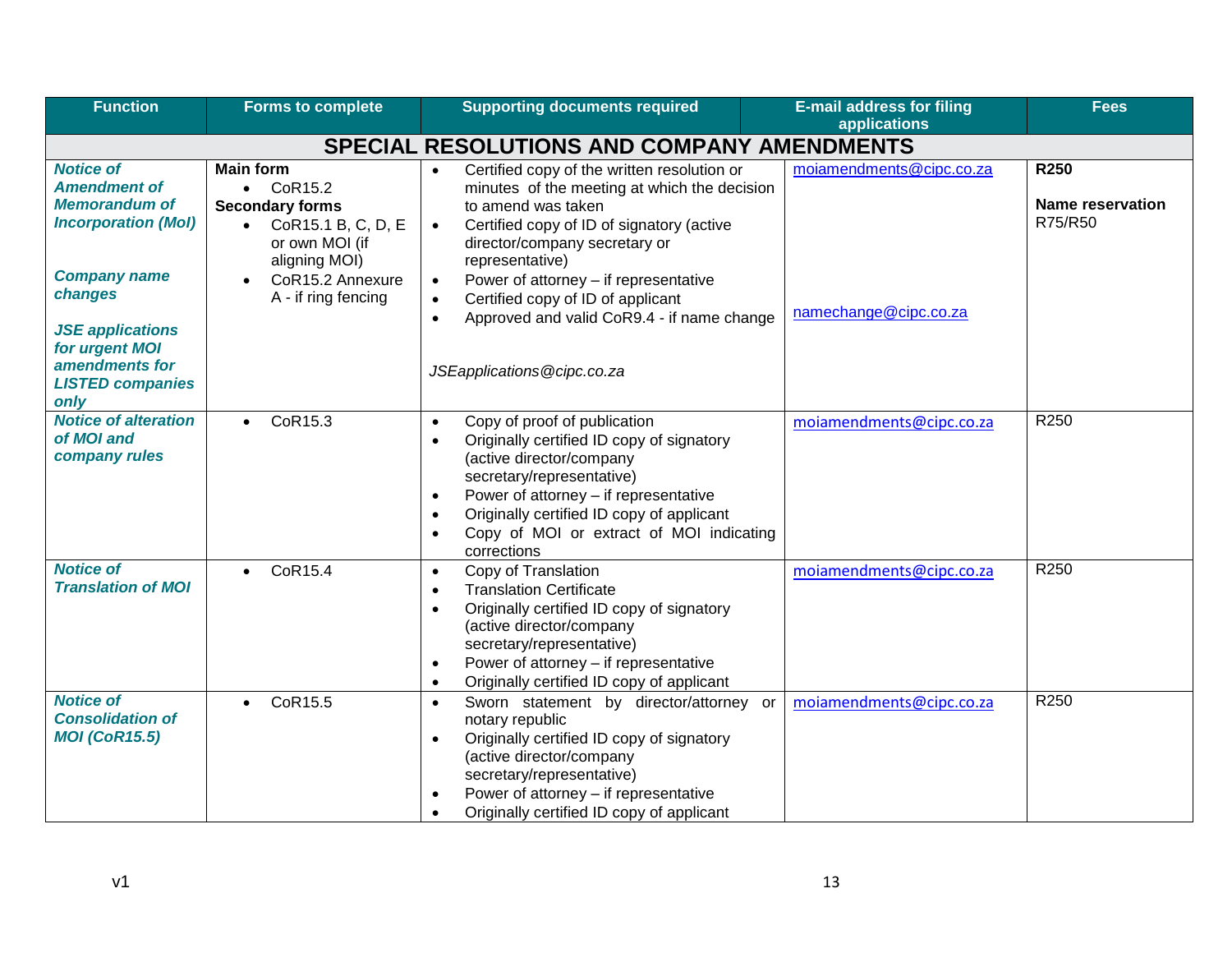| <b>Function</b>                                                                                                                  | <b>Forms to complete</b>                                                                                                              | <b>Supporting documents required</b>                                                                                                                                                                                                                                                                                                                 | <b>E-mail address for filing</b><br>applications | <b>Fees</b>                                       |
|----------------------------------------------------------------------------------------------------------------------------------|---------------------------------------------------------------------------------------------------------------------------------------|------------------------------------------------------------------------------------------------------------------------------------------------------------------------------------------------------------------------------------------------------------------------------------------------------------------------------------------------------|--------------------------------------------------|---------------------------------------------------|
|                                                                                                                                  |                                                                                                                                       | <b>SPECIAL RESOLUTIONS AND COMPANY AMENDMENTS</b>                                                                                                                                                                                                                                                                                                    |                                                  |                                                   |
| <b>Notice of</b><br><b>Amendment of</b><br><b>Memorandum of</b><br><b>Incorporation (Mol)</b>                                    | <b>Main form</b><br>$\bullet$ CoR15.2<br><b>Secondary forms</b><br>CoR15.1 B, C, D, E<br>$\bullet$<br>or own MOI (if<br>aligning MOI) | Certified copy of the written resolution or<br>$\bullet$<br>minutes of the meeting at which the decision<br>to amend was taken<br>Certified copy of ID of signatory (active<br>$\bullet$<br>director/company secretary or<br>representative)                                                                                                         | moiamendments@cipc.co.za                         | <b>R250</b><br><b>Name reservation</b><br>R75/R50 |
| <b>Company name</b><br>changes<br><b>JSE applications</b><br>for urgent MOI<br>amendments for<br><b>LISTED companies</b><br>only | CoR15.2 Annexure<br>A - if ring fencing                                                                                               | Power of attorney - if representative<br>$\bullet$<br>Certified copy of ID of applicant<br>$\bullet$<br>Approved and valid CoR9.4 - if name change<br>$\bullet$<br>JSEapplications@cipc.co.za                                                                                                                                                        | namechange@cipc.co.za                            |                                                   |
| <b>Notice of alteration</b><br>of MOI and<br>company rules                                                                       | CoR15.3<br>$\bullet$                                                                                                                  | Copy of proof of publication<br>$\bullet$<br>Originally certified ID copy of signatory<br>$\bullet$<br>(active director/company<br>secretary/representative)<br>Power of attorney - if representative<br>$\bullet$<br>Originally certified ID copy of applicant<br>$\bullet$<br>Copy of MOI or extract of MOI indicating<br>$\bullet$<br>corrections | moiamendments@cipc.co.za                         | R250                                              |
| <b>Notice of</b><br><b>Translation of MOI</b>                                                                                    | CoR15.4<br>$\bullet$                                                                                                                  | Copy of Translation<br>$\bullet$<br><b>Translation Certificate</b><br>$\bullet$<br>Originally certified ID copy of signatory<br>(active director/company<br>secretary/representative)<br>Power of attorney - if representative<br>$\bullet$<br>Originally certified ID copy of applicant<br>$\bullet$                                                | moiamendments@cipc.co.za                         | R250                                              |
| <b>Notice of</b><br><b>Consolidation of</b><br><b>MOI (CoR15.5)</b>                                                              | CoR15.5<br>$\bullet$                                                                                                                  | Sworn statement by director/attorney or<br>$\bullet$<br>notary republic<br>Originally certified ID copy of signatory<br>$\bullet$<br>(active director/company<br>secretary/representative)<br>Power of attorney - if representative<br>$\bullet$<br>Originally certified ID copy of applicant                                                        | moiamendments@cipc.co.za                         | R250                                              |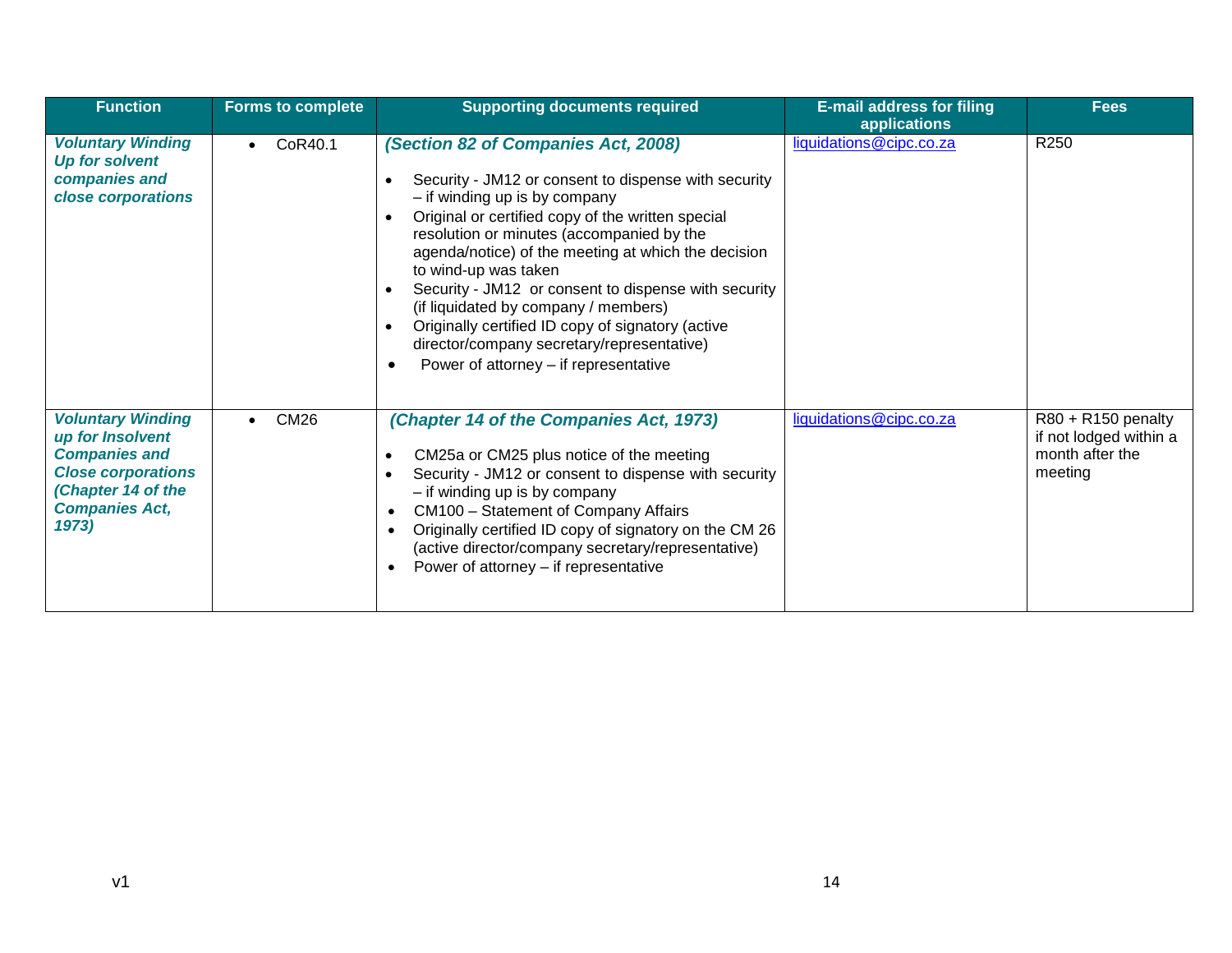| <b>Function</b>                                                                                                                                                 | <b>Forms to complete</b> | <b>Supporting documents required</b>                                                                                                                                                                                                                                                                                                                                                                                                                                                                                                                                                | <b>E-mail address for filing</b><br>applications | <b>Fees</b>                                                                |
|-----------------------------------------------------------------------------------------------------------------------------------------------------------------|--------------------------|-------------------------------------------------------------------------------------------------------------------------------------------------------------------------------------------------------------------------------------------------------------------------------------------------------------------------------------------------------------------------------------------------------------------------------------------------------------------------------------------------------------------------------------------------------------------------------------|--------------------------------------------------|----------------------------------------------------------------------------|
| <b>Voluntary Winding</b><br><b>Up for solvent</b><br>companies and<br>close corporations                                                                        | CoR40.1<br>$\bullet$     | (Section 82 of Companies Act, 2008)<br>Security - JM12 or consent to dispense with security<br>- if winding up is by company<br>Original or certified copy of the written special<br>resolution or minutes (accompanied by the<br>agenda/notice) of the meeting at which the decision<br>to wind-up was taken<br>Security - JM12 or consent to dispense with security<br>(if liquidated by company / members)<br>Originally certified ID copy of signatory (active<br>$\bullet$<br>director/company secretary/representative)<br>Power of attorney – if representative<br>$\bullet$ | liquidations@cipc.co.za                          | R250                                                                       |
| <b>Voluntary Winding</b><br>up for Insolvent<br><b>Companies and</b><br><b>Close corporations</b><br><b>Chapter 14 of the</b><br><b>Companies Act,</b><br>1973) | <b>CM26</b><br>$\bullet$ | (Chapter 14 of the Companies Act, 1973)<br>CM25a or CM25 plus notice of the meeting<br>Security - JM12 or consent to dispense with security<br>- if winding up is by company<br>CM100 - Statement of Company Affairs<br>$\bullet$<br>Originally certified ID copy of signatory on the CM 26<br>$\bullet$<br>(active director/company secretary/representative)<br>Power of attorney – if representative<br>$\bullet$                                                                                                                                                                | liquidations@cipc.co.za                          | R80 + R150 penalty<br>if not lodged within a<br>month after the<br>meeting |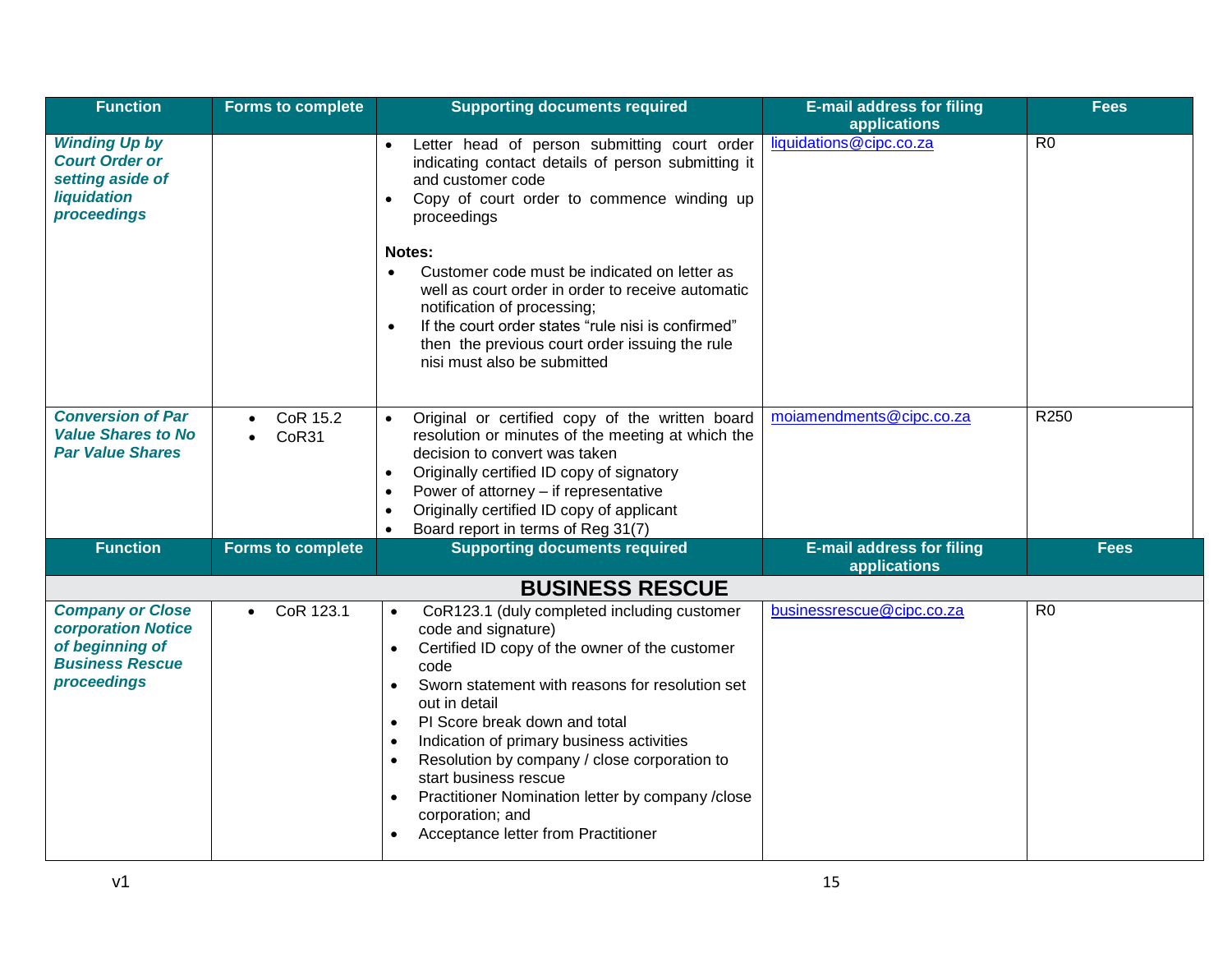| <b>Function</b>                                                                                                  | <b>Forms to complete</b>                    | <b>Supporting documents required</b>                                                                                                                                                                                                                                                                                                                                                                                                                                                                                                                                           | <b>E-mail address for filing</b><br>applications | <b>Fees</b>    |
|------------------------------------------------------------------------------------------------------------------|---------------------------------------------|--------------------------------------------------------------------------------------------------------------------------------------------------------------------------------------------------------------------------------------------------------------------------------------------------------------------------------------------------------------------------------------------------------------------------------------------------------------------------------------------------------------------------------------------------------------------------------|--------------------------------------------------|----------------|
| <b>Winding Up by</b><br><b>Court Order or</b><br>setting aside of<br><b>liquidation</b><br>proceedings           |                                             | Letter head of person submitting court order<br>indicating contact details of person submitting it<br>and customer code<br>Copy of court order to commence winding up<br>$\bullet$<br>proceedings<br>Notes:<br>Customer code must be indicated on letter as<br>$\bullet$<br>well as court order in order to receive automatic<br>notification of processing;<br>If the court order states "rule nisi is confirmed"<br>$\bullet$                                                                                                                                                | liquidations@cipc.co.za                          | R <sub>0</sub> |
|                                                                                                                  |                                             | then the previous court order issuing the rule<br>nisi must also be submitted                                                                                                                                                                                                                                                                                                                                                                                                                                                                                                  |                                                  |                |
| <b>Conversion of Par</b><br><b>Value Shares to No</b><br><b>Par Value Shares</b>                                 | CoR 15.2<br>$\bullet$<br>CoR31<br>$\bullet$ | Original or certified copy of the written board<br>$\bullet$<br>resolution or minutes of the meeting at which the<br>decision to convert was taken<br>Originally certified ID copy of signatory<br>$\bullet$<br>Power of attorney - if representative<br>$\bullet$<br>Originally certified ID copy of applicant<br>$\bullet$<br>Board report in terms of Reg 31(7)<br>$\bullet$                                                                                                                                                                                                | moiamendments@cipc.co.za                         | R250           |
| <b>Function</b>                                                                                                  | <b>Forms to complete</b>                    | <b>Supporting documents required</b>                                                                                                                                                                                                                                                                                                                                                                                                                                                                                                                                           | <b>E-mail address for filing</b><br>applications | <b>Fees</b>    |
|                                                                                                                  |                                             | <b>BUSINESS RESCUE</b>                                                                                                                                                                                                                                                                                                                                                                                                                                                                                                                                                         |                                                  |                |
| <b>Company or Close</b><br><b>corporation Notice</b><br>of beginning of<br><b>Business Rescue</b><br>proceedings | CoR 123.1<br>$\bullet$                      | CoR123.1 (duly completed including customer<br>$\bullet$<br>code and signature)<br>Certified ID copy of the owner of the customer<br>$\bullet$<br>code<br>Sworn statement with reasons for resolution set<br>$\bullet$<br>out in detail<br>PI Score break down and total<br>$\bullet$<br>Indication of primary business activities<br>$\bullet$<br>Resolution by company / close corporation to<br>$\bullet$<br>start business rescue<br>Practitioner Nomination letter by company /close<br>$\bullet$<br>corporation; and<br>Acceptance letter from Practitioner<br>$\bullet$ | businessrescue@cipc.co.za                        | R <sub>0</sub> |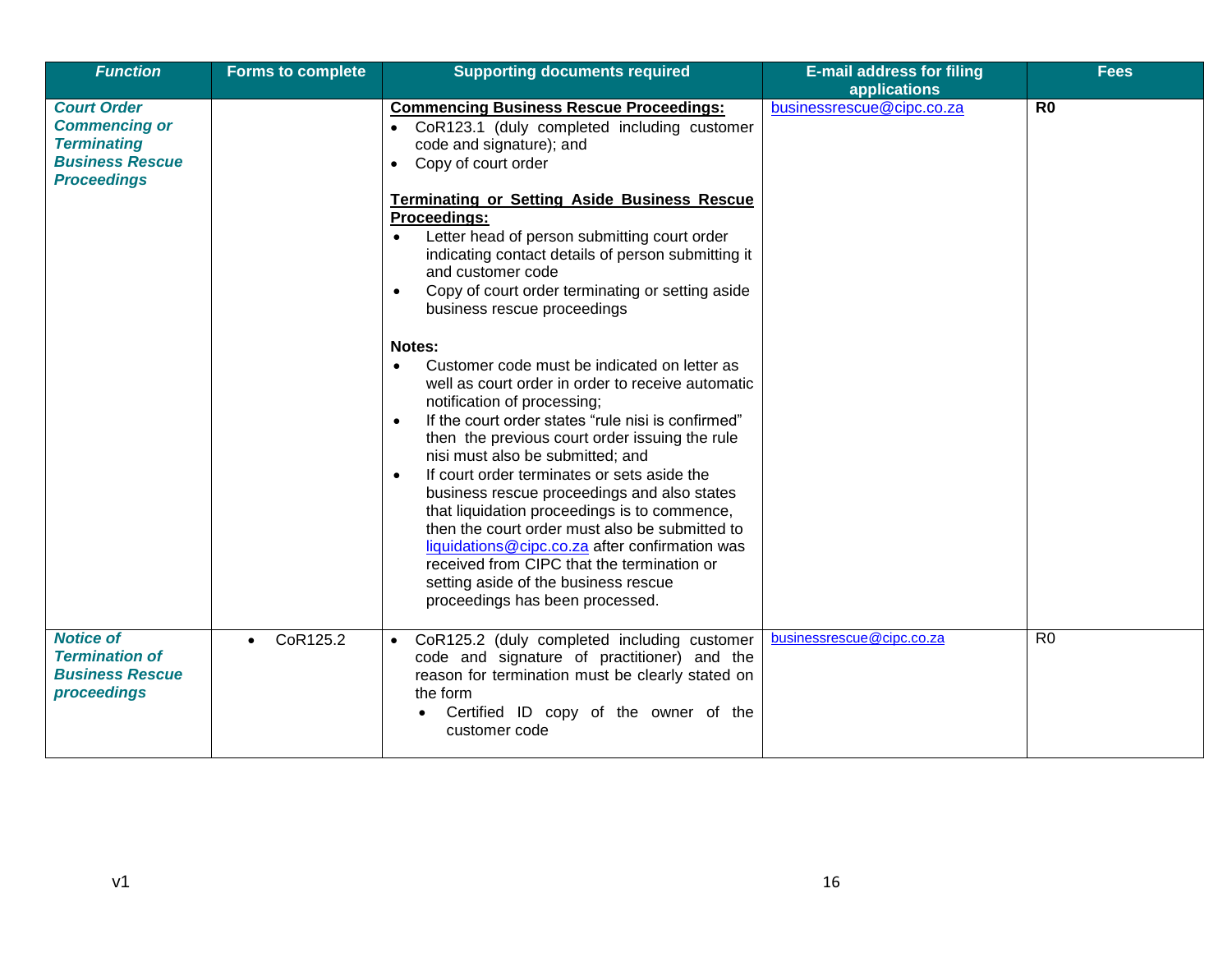| <b>Function</b>                                                                                                  | <b>Forms to complete</b> | <b>Supporting documents required</b>                                                                                                                                                                                                                                                                                                                                                                                                                                                                                                                                                                                                                                                                     | <b>E-mail address for filing</b><br>applications | <b>Fees</b>    |
|------------------------------------------------------------------------------------------------------------------|--------------------------|----------------------------------------------------------------------------------------------------------------------------------------------------------------------------------------------------------------------------------------------------------------------------------------------------------------------------------------------------------------------------------------------------------------------------------------------------------------------------------------------------------------------------------------------------------------------------------------------------------------------------------------------------------------------------------------------------------|--------------------------------------------------|----------------|
| <b>Court Order</b><br><b>Commencing or</b><br><b>Terminating</b><br><b>Business Rescue</b><br><b>Proceedings</b> |                          | <b>Commencing Business Rescue Proceedings:</b><br>CoR123.1 (duly completed including customer<br>$\bullet$<br>code and signature); and<br>Copy of court order<br>$\bullet$                                                                                                                                                                                                                                                                                                                                                                                                                                                                                                                               | businessrescue@cipc.co.za                        | R <sub>0</sub> |
|                                                                                                                  |                          | <b>Terminating or Setting Aside Business Rescue</b><br>Proceedings:<br>Letter head of person submitting court order<br>indicating contact details of person submitting it<br>and customer code<br>Copy of court order terminating or setting aside<br>business rescue proceedings                                                                                                                                                                                                                                                                                                                                                                                                                        |                                                  |                |
|                                                                                                                  |                          | Notes:<br>Customer code must be indicated on letter as<br>$\bullet$<br>well as court order in order to receive automatic<br>notification of processing;<br>If the court order states "rule nisi is confirmed"<br>$\bullet$<br>then the previous court order issuing the rule<br>nisi must also be submitted; and<br>If court order terminates or sets aside the<br>$\bullet$<br>business rescue proceedings and also states<br>that liquidation proceedings is to commence,<br>then the court order must also be submitted to<br>liquidations@cipc.co.za after confirmation was<br>received from CIPC that the termination or<br>setting aside of the business rescue<br>proceedings has been processed. |                                                  |                |
| <b>Notice of</b><br><b>Termination of</b><br><b>Business Rescue</b><br>proceedings                               | CoR125.2<br>$\bullet$    | CoR125.2 (duly completed including customer<br>$\bullet$<br>code and signature of practitioner) and the<br>reason for termination must be clearly stated on<br>the form<br>Certified ID copy of the owner of the<br>customer code                                                                                                                                                                                                                                                                                                                                                                                                                                                                        | businessrescue@cipc.co.za                        | R <sub>0</sub> |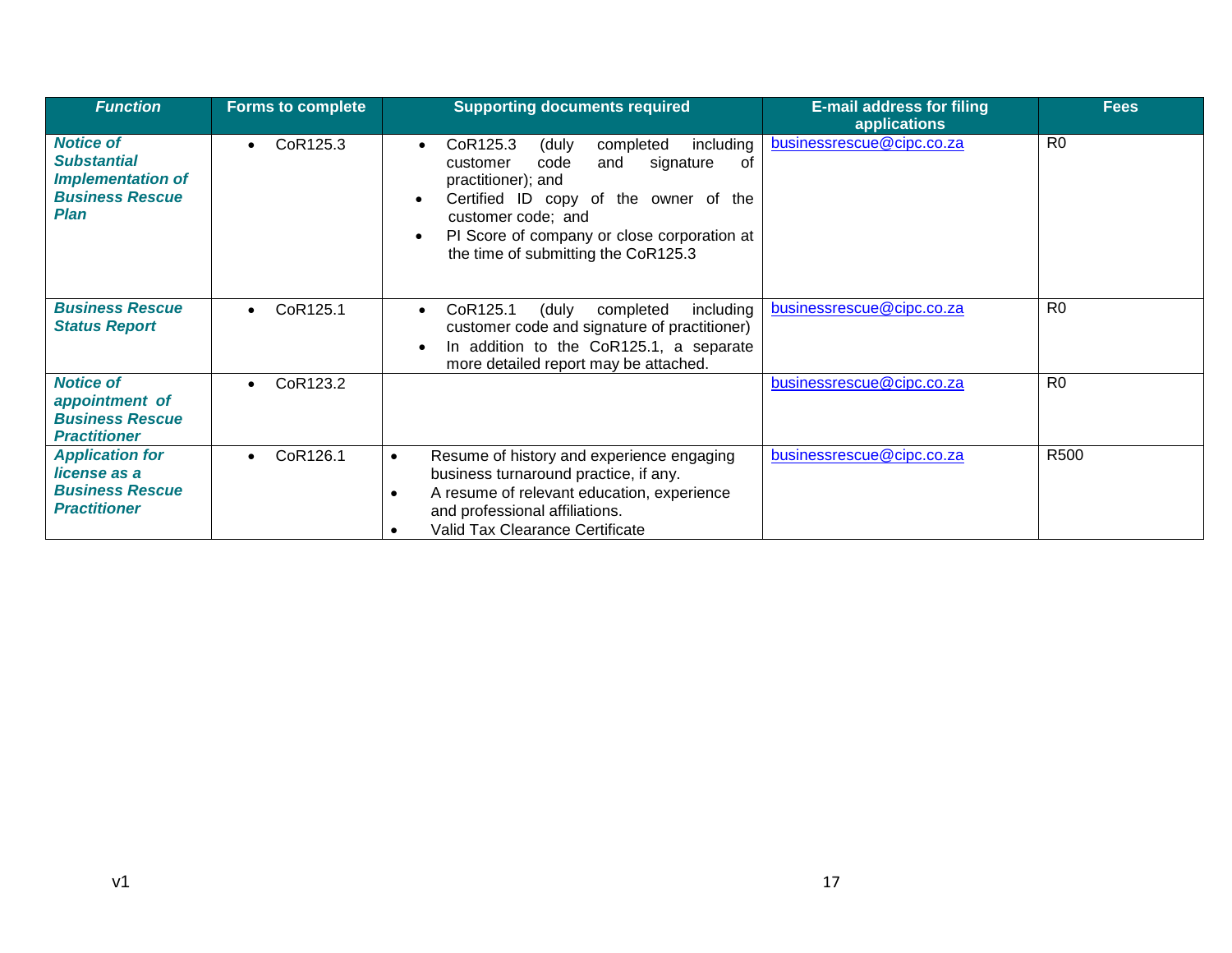| <b>Function</b>                                                                                      | <b>Forms to complete</b> | <b>Supporting documents required</b>                                                                                                                                                                                                                                              | <b>E-mail address for filing</b><br><b>applications</b> | <b>Fees</b>    |
|------------------------------------------------------------------------------------------------------|--------------------------|-----------------------------------------------------------------------------------------------------------------------------------------------------------------------------------------------------------------------------------------------------------------------------------|---------------------------------------------------------|----------------|
| <b>Notice of</b><br><b>Substantial</b><br><b>Implementation of</b><br><b>Business Rescue</b><br>Plan | CoR125.3<br>$\bullet$    | including<br>CoR125.3<br>completed<br>(duly<br>$\bullet$<br>signature<br>code<br>and<br>0f<br>customer<br>practitioner); and<br>Certified ID copy of the owner of the<br>customer code; and<br>PI Score of company or close corporation at<br>the time of submitting the CoR125.3 | businessrescue@cipc.co.za                               | R <sub>0</sub> |
| <b>Business Rescue</b><br><b>Status Report</b>                                                       | CoR125.1<br>$\bullet$    | CoR125.1<br>(duly<br>including<br>completed<br>$\bullet$<br>customer code and signature of practitioner)<br>In addition to the CoR125.1, a separate<br>more detailed report may be attached.                                                                                      | businessrescue@cipc.co.za                               | R <sub>0</sub> |
| <b>Notice of</b><br>appointment of<br><b>Business Rescue</b><br><b>Practitioner</b>                  | CoR123.2<br>$\bullet$    |                                                                                                                                                                                                                                                                                   | businessrescue@cipc.co.za                               | R <sub>0</sub> |
| <b>Application for</b><br>license as a<br><b>Business Rescue</b><br><b>Practitioner</b>              | CoR126.1<br>$\bullet$    | Resume of history and experience engaging<br>$\bullet$<br>business turnaround practice, if any.<br>A resume of relevant education, experience<br>and professional affiliations.<br>Valid Tax Clearance Certificate                                                                | businessrescue@cipc.co.za                               | R500           |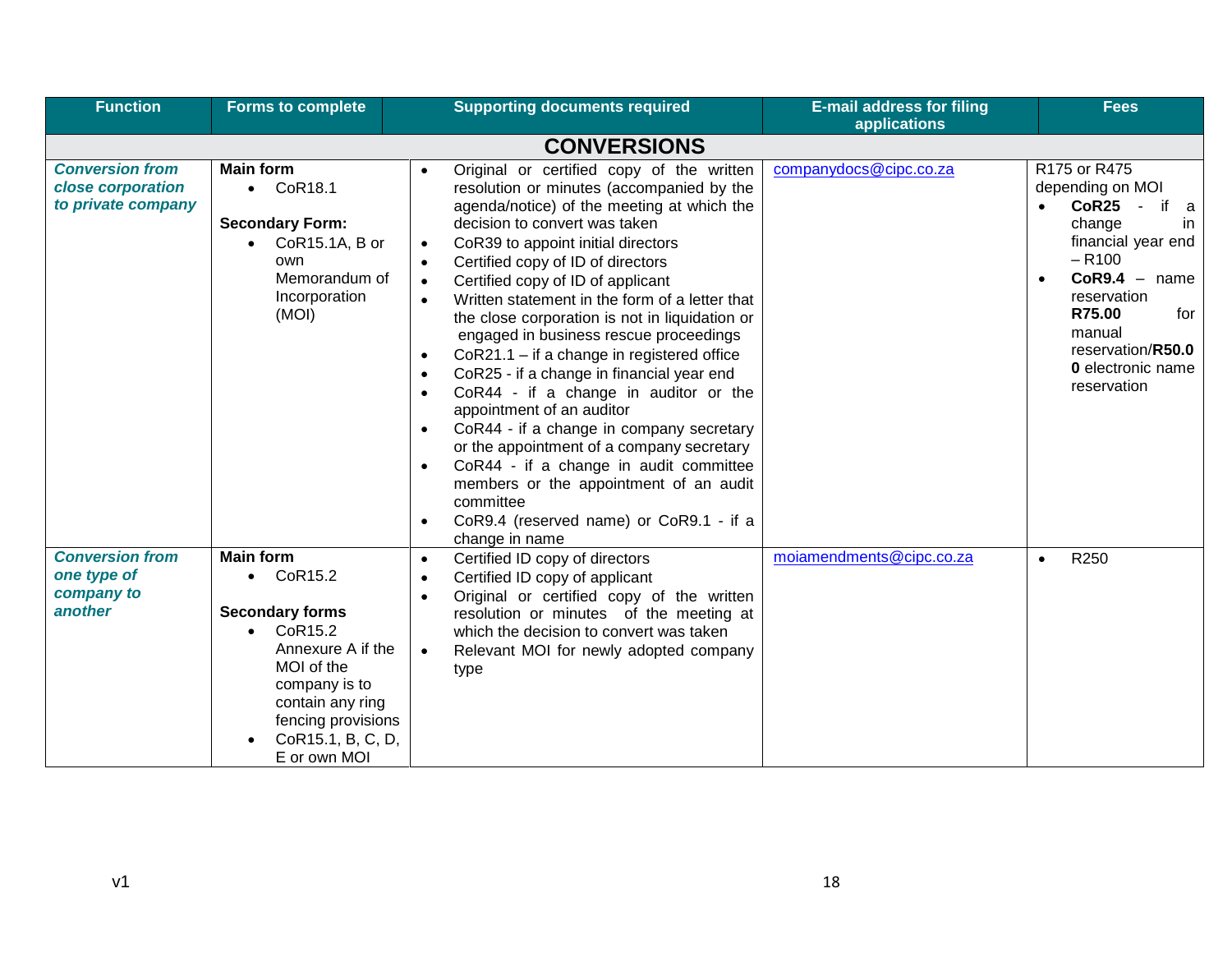| <b>Function</b>                                                   | <b>Forms to complete</b>                                                                                                                                                                                                   | <b>Supporting documents required</b>                                                                                                                                                                                                                                                                                                                                                                                                                                                                                                                                                                                                                                                                                                                                                                                                                                                                                                                                                                       | <b>E-mail address for filing</b><br>applications | <b>Fees</b>                                                                                                                                                                                                                                      |
|-------------------------------------------------------------------|----------------------------------------------------------------------------------------------------------------------------------------------------------------------------------------------------------------------------|------------------------------------------------------------------------------------------------------------------------------------------------------------------------------------------------------------------------------------------------------------------------------------------------------------------------------------------------------------------------------------------------------------------------------------------------------------------------------------------------------------------------------------------------------------------------------------------------------------------------------------------------------------------------------------------------------------------------------------------------------------------------------------------------------------------------------------------------------------------------------------------------------------------------------------------------------------------------------------------------------------|--------------------------------------------------|--------------------------------------------------------------------------------------------------------------------------------------------------------------------------------------------------------------------------------------------------|
|                                                                   |                                                                                                                                                                                                                            | <b>CONVERSIONS</b>                                                                                                                                                                                                                                                                                                                                                                                                                                                                                                                                                                                                                                                                                                                                                                                                                                                                                                                                                                                         |                                                  |                                                                                                                                                                                                                                                  |
| <b>Conversion from</b><br>close corporation<br>to private company | <b>Main form</b><br>$\bullet$ CoR18.1<br><b>Secondary Form:</b><br>CoR15.1A, B or<br>own<br>Memorandum of<br>Incorporation<br>(MOI)                                                                                        | Original or certified copy of the written<br>$\bullet$<br>resolution or minutes (accompanied by the<br>agenda/notice) of the meeting at which the<br>decision to convert was taken<br>CoR39 to appoint initial directors<br>$\bullet$<br>Certified copy of ID of directors<br>$\bullet$<br>Certified copy of ID of applicant<br>$\bullet$<br>Written statement in the form of a letter that<br>$\bullet$<br>the close corporation is not in liquidation or<br>engaged in business rescue proceedings<br>CoR21.1 - if a change in registered office<br>$\bullet$<br>CoR25 - if a change in financial year end<br>$\bullet$<br>CoR44 - if a change in auditor or the<br>$\bullet$<br>appointment of an auditor<br>CoR44 - if a change in company secretary<br>$\bullet$<br>or the appointment of a company secretary<br>CoR44 - if a change in audit committee<br>$\bullet$<br>members or the appointment of an audit<br>committee<br>CoR9.4 (reserved name) or CoR9.1 - if a<br>$\bullet$<br>change in name | companydocs@cipc.co.za                           | R175 or R475<br>depending on MOI<br>CoR25 -<br>if a<br>change<br>in.<br>financial year end<br>$- R100$<br>$CoR9.4 - name$<br>$\bullet$<br>reservation<br>R75.00<br>for<br>manual<br>reservation/R50.0<br><b>0</b> electronic name<br>reservation |
| <b>Conversion from</b><br>one type of<br>company to<br>another    | <b>Main form</b><br>$\bullet$ CoR15.2<br><b>Secondary forms</b><br>CoR15.2<br>$\bullet$<br>Annexure A if the<br>MOI of the<br>company is to<br>contain any ring<br>fencing provisions<br>CoR15.1, B, C, D,<br>E or own MOI | Certified ID copy of directors<br>$\bullet$<br>Certified ID copy of applicant<br>$\bullet$<br>Original or certified copy of the written<br>$\bullet$<br>resolution or minutes of the meeting at<br>which the decision to convert was taken<br>Relevant MOI for newly adopted company<br>$\bullet$<br>type                                                                                                                                                                                                                                                                                                                                                                                                                                                                                                                                                                                                                                                                                                  | moiamendments@cipc.co.za                         | R250<br>$\bullet$                                                                                                                                                                                                                                |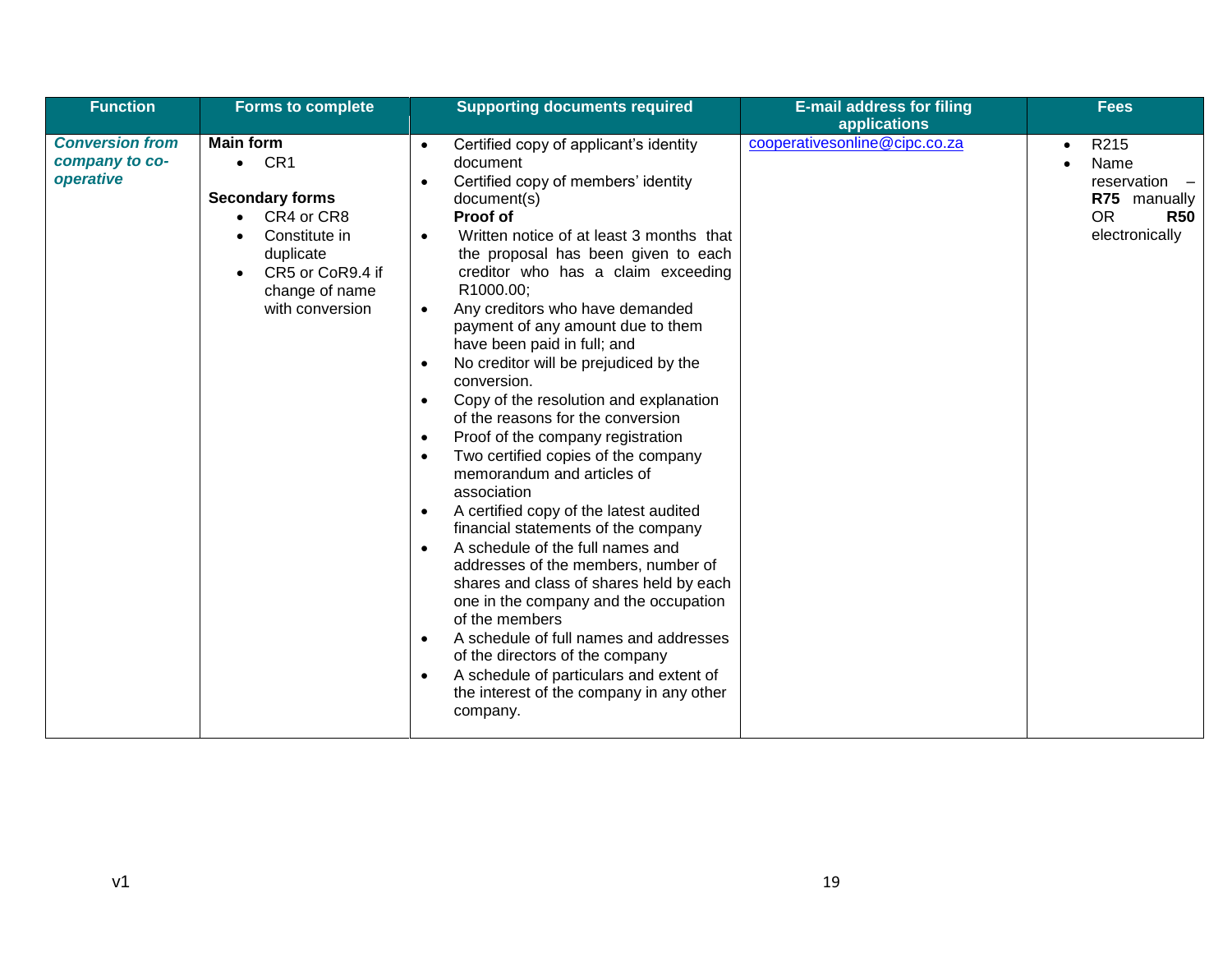| <b>Function</b>                                       | <b>Forms to complete</b>                                                                                                                                            | <b>Supporting documents required</b>                                                                                                                                                                                                                                                                                                                                                                                                                                                                                                                                                                                                                                                                                                                                                                                                                                                                                                                                                                                                                                                                                                                                                                                                            | <b>E-mail address for filing</b><br>applications | <b>Fees</b>                                                                                |
|-------------------------------------------------------|---------------------------------------------------------------------------------------------------------------------------------------------------------------------|-------------------------------------------------------------------------------------------------------------------------------------------------------------------------------------------------------------------------------------------------------------------------------------------------------------------------------------------------------------------------------------------------------------------------------------------------------------------------------------------------------------------------------------------------------------------------------------------------------------------------------------------------------------------------------------------------------------------------------------------------------------------------------------------------------------------------------------------------------------------------------------------------------------------------------------------------------------------------------------------------------------------------------------------------------------------------------------------------------------------------------------------------------------------------------------------------------------------------------------------------|--------------------------------------------------|--------------------------------------------------------------------------------------------|
| <b>Conversion from</b><br>company to co-<br>operative | <b>Main form</b><br>CR1<br>$\bullet$<br><b>Secondary forms</b><br>CR4 or CR8<br>Constitute in<br>duplicate<br>CR5 or CoR9.4 if<br>change of name<br>with conversion | Certified copy of applicant's identity<br>$\bullet$<br>document<br>Certified copy of members' identity<br>$\bullet$<br>document(s)<br>Proof of<br>Written notice of at least 3 months that<br>$\bullet$<br>the proposal has been given to each<br>creditor who has a claim exceeding<br>R1000.00;<br>Any creditors who have demanded<br>$\bullet$<br>payment of any amount due to them<br>have been paid in full; and<br>No creditor will be prejudiced by the<br>$\bullet$<br>conversion.<br>Copy of the resolution and explanation<br>$\bullet$<br>of the reasons for the conversion<br>Proof of the company registration<br>$\bullet$<br>Two certified copies of the company<br>$\bullet$<br>memorandum and articles of<br>association<br>A certified copy of the latest audited<br>$\bullet$<br>financial statements of the company<br>A schedule of the full names and<br>$\bullet$<br>addresses of the members, number of<br>shares and class of shares held by each<br>one in the company and the occupation<br>of the members<br>A schedule of full names and addresses<br>$\bullet$<br>of the directors of the company<br>A schedule of particulars and extent of<br>$\bullet$<br>the interest of the company in any other<br>company. | cooperativesonline@cipc.co.za                    | R215<br>Name<br>reservation -<br>R75 manually<br><b>OR</b><br><b>R50</b><br>electronically |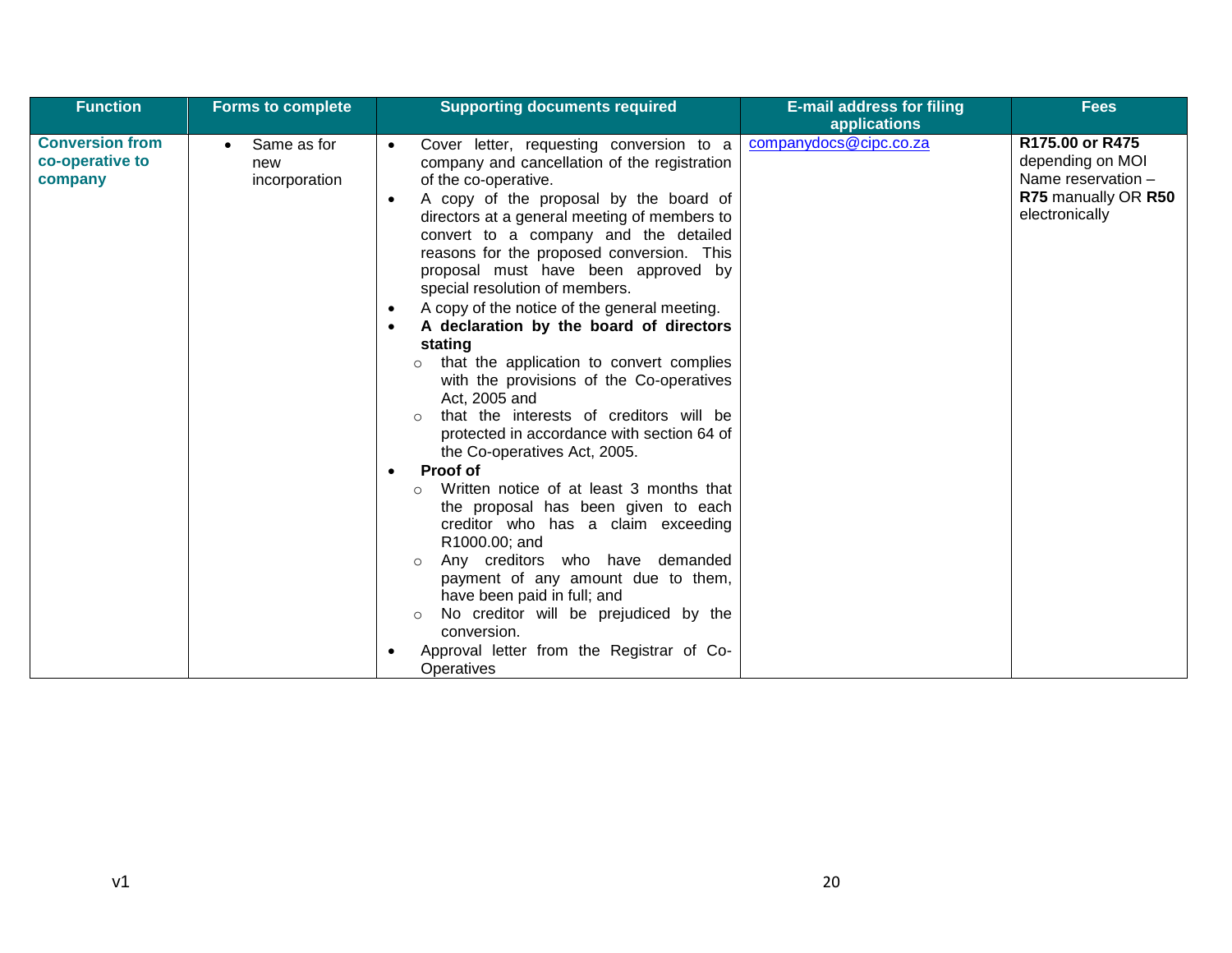| <b>Function</b>                                      | <b>Forms to complete</b>                         | <b>Supporting documents required</b>                                                                                                                                                                                                                                                                                                                                                                                                                                                                                                                                                                                                                                                                                                                                                                                                                                                                                                                                                                                                                                   | <b>E-mail address for filing</b><br>applications | Fees                                                                                               |
|------------------------------------------------------|--------------------------------------------------|------------------------------------------------------------------------------------------------------------------------------------------------------------------------------------------------------------------------------------------------------------------------------------------------------------------------------------------------------------------------------------------------------------------------------------------------------------------------------------------------------------------------------------------------------------------------------------------------------------------------------------------------------------------------------------------------------------------------------------------------------------------------------------------------------------------------------------------------------------------------------------------------------------------------------------------------------------------------------------------------------------------------------------------------------------------------|--------------------------------------------------|----------------------------------------------------------------------------------------------------|
| <b>Conversion from</b><br>co-operative to<br>company | Same as for<br>$\bullet$<br>new<br>incorporation | Cover letter, requesting conversion to a<br>company and cancellation of the registration<br>of the co-operative.<br>A copy of the proposal by the board of<br>$\bullet$<br>directors at a general meeting of members to<br>convert to a company and the detailed<br>reasons for the proposed conversion. This<br>proposal must have been approved by<br>special resolution of members.<br>A copy of the notice of the general meeting.<br>A declaration by the board of directors<br>stating<br>that the application to convert complies<br>with the provisions of the Co-operatives<br>Act, 2005 and<br>that the interests of creditors will be<br>protected in accordance with section 64 of<br>the Co-operatives Act, 2005.<br>Proof of<br>Written notice of at least 3 months that<br>$\circ$<br>the proposal has been given to each<br>creditor who has a claim exceeding<br>R1000.00; and<br>Any creditors who have demanded<br>$\circ$<br>payment of any amount due to them,<br>have been paid in full; and<br>No creditor will be prejudiced by the<br>$\circ$ | companydocs@cipc.co.za                           | R175.00 or R475<br>depending on MOI<br>Name reservation -<br>R75 manually OR R50<br>electronically |
|                                                      |                                                  | conversion.<br>Approval letter from the Registrar of Co-<br>Operatives                                                                                                                                                                                                                                                                                                                                                                                                                                                                                                                                                                                                                                                                                                                                                                                                                                                                                                                                                                                                 |                                                  |                                                                                                    |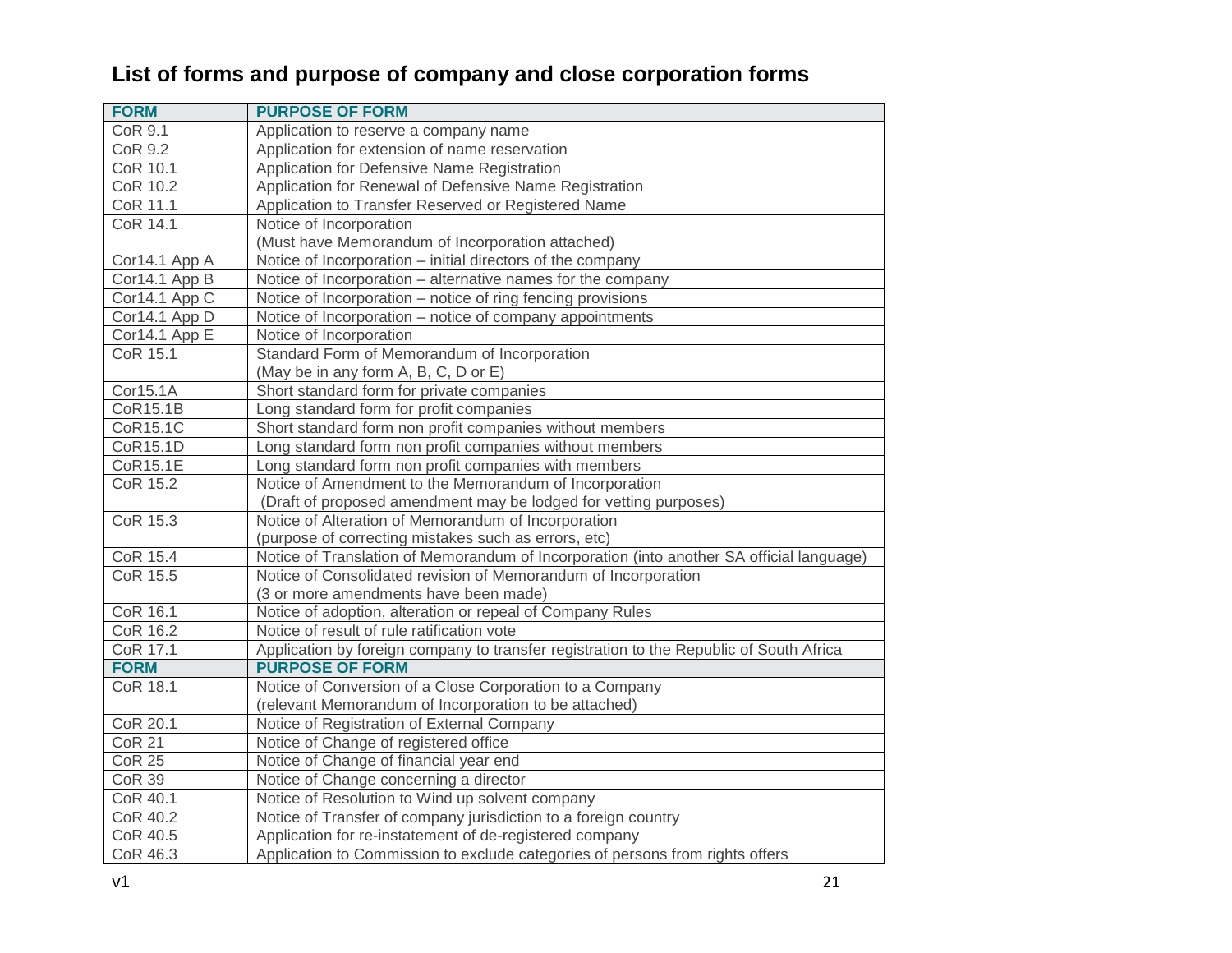## **List of forms and purpose of company and close corporation forms**

| <b>FORM</b>     | <b>PURPOSE OF FORM</b>                                                                   |
|-----------------|------------------------------------------------------------------------------------------|
| CoR 9.1         | Application to reserve a company name                                                    |
| COR 9.2         | Application for extension of name reservation                                            |
| CoR 10.1        | Application for Defensive Name Registration                                              |
| <b>CoR 10.2</b> | Application for Renewal of Defensive Name Registration                                   |
| CoR 11.1        | Application to Transfer Reserved or Registered Name                                      |
| <b>CoR 14.1</b> | Notice of Incorporation                                                                  |
|                 | (Must have Memorandum of Incorporation attached)                                         |
| Cor14.1 App A   | Notice of Incorporation – initial directors of the company                               |
| Cor14.1 App B   | Notice of Incorporation - alternative names for the company                              |
| Cor14.1 App C   | Notice of Incorporation - notice of ring fencing provisions                              |
| Cor14.1 App D   | Notice of Incorporation – notice of company appointments                                 |
| Cor14.1 App E   | Notice of Incorporation                                                                  |
| CoR 15.1        | Standard Form of Memorandum of Incorporation                                             |
|                 | (May be in any form A, B, C, D or E)                                                     |
| Cor15.1A        | Short standard form for private companies                                                |
| CoR15.1B        | Long standard form for profit companies                                                  |
| CoR15.1C        | Short standard form non profit companies without members                                 |
| CoR15.1D        | Long standard form non profit companies without members                                  |
| CoR15.1E        | Long standard form non profit companies with members                                     |
| <b>CoR 15.2</b> | Notice of Amendment to the Memorandum of Incorporation                                   |
|                 | (Draft of proposed amendment may be lodged for vetting purposes)                         |
| CoR 15.3        | Notice of Alteration of Memorandum of Incorporation                                      |
|                 | (purpose of correcting mistakes such as errors, etc)                                     |
| CoR 15.4        | Notice of Translation of Memorandum of Incorporation (into another SA official language) |
| CoR 15.5        | Notice of Consolidated revision of Memorandum of Incorporation                           |
|                 | (3 or more amendments have been made)                                                    |
| CoR 16.1        | Notice of adoption, alteration or repeal of Company Rules                                |
| CoR 16.2        | Notice of result of rule ratification vote                                               |
| CoR 17.1        | Application by foreign company to transfer registration to the Republic of South Africa  |
| <b>FORM</b>     | <b>PURPOSE OF FORM</b>                                                                   |
| CoR 18.1        | Notice of Conversion of a Close Corporation to a Company                                 |
|                 | (relevant Memorandum of Incorporation to be attached)                                    |
| CoR 20.1        | Notice of Registration of External Company                                               |
| <b>CoR 21</b>   | Notice of Change of registered office                                                    |
| <b>CoR 25</b>   | Notice of Change of financial year end                                                   |
| <b>CoR 39</b>   | Notice of Change concerning a director                                                   |
| CoR 40.1        | Notice of Resolution to Wind up solvent company                                          |
| CoR 40.2        | Notice of Transfer of company jurisdiction to a foreign country                          |
| CoR 40.5        | Application for re-instatement of de-registered company                                  |
| CoR 46.3        | Application to Commission to exclude categories of persons from rights offers            |